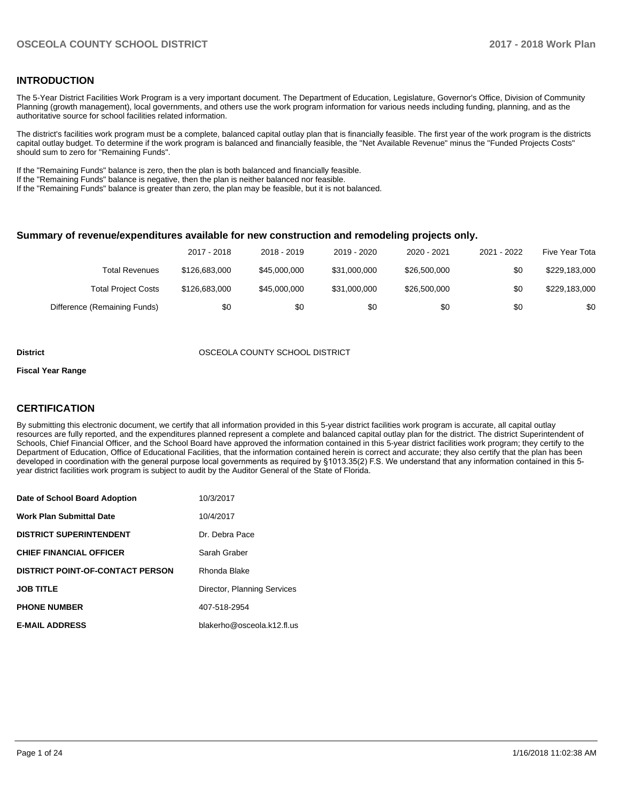### **INTRODUCTION**

The 5-Year District Facilities Work Program is a very important document. The Department of Education, Legislature, Governor's Office, Division of Community Planning (growth management), local governments, and others use the work program information for various needs including funding, planning, and as the authoritative source for school facilities related information.

The district's facilities work program must be a complete, balanced capital outlay plan that is financially feasible. The first year of the work program is the districts capital outlay budget. To determine if the work program is balanced and financially feasible, the "Net Available Revenue" minus the "Funded Projects Costs" should sum to zero for "Remaining Funds".

If the "Remaining Funds" balance is zero, then the plan is both balanced and financially feasible.

If the "Remaining Funds" balance is negative, then the plan is neither balanced nor feasible.

If the "Remaining Funds" balance is greater than zero, the plan may be feasible, but it is not balanced.

#### **Summary of revenue/expenditures available for new construction and remodeling projects only.**

|                              | 2017 - 2018   | 2018 - 2019  | 2019 - 2020  | 2020 - 2021  | 2021 - 2022 | Five Year Tota |
|------------------------------|---------------|--------------|--------------|--------------|-------------|----------------|
| Total Revenues               | \$126,683,000 | \$45,000,000 | \$31,000,000 | \$26,500,000 | \$0         | \$229,183,000  |
| <b>Total Project Costs</b>   | \$126,683,000 | \$45,000,000 | \$31,000,000 | \$26,500,000 | \$0         | \$229,183,000  |
| Difference (Remaining Funds) | \$0           | \$0          | \$0          | \$0          | \$0         | \$0            |

#### **District** OSCEOLA COUNTY SCHOOL DISTRICT

#### **Fiscal Year Range**

### **CERTIFICATION**

By submitting this electronic document, we certify that all information provided in this 5-year district facilities work program is accurate, all capital outlay resources are fully reported, and the expenditures planned represent a complete and balanced capital outlay plan for the district. The district Superintendent of Schools, Chief Financial Officer, and the School Board have approved the information contained in this 5-year district facilities work program; they certify to the Department of Education, Office of Educational Facilities, that the information contained herein is correct and accurate; they also certify that the plan has been developed in coordination with the general purpose local governments as required by §1013.35(2) F.S. We understand that any information contained in this 5year district facilities work program is subject to audit by the Auditor General of the State of Florida.

| Date of School Board Adoption           | 10/3/2017                   |
|-----------------------------------------|-----------------------------|
| <b>Work Plan Submittal Date</b>         | 10/4/2017                   |
| <b>DISTRICT SUPERINTENDENT</b>          | Dr. Debra Pace              |
| <b>CHIEF FINANCIAL OFFICER</b>          | Sarah Graber                |
| <b>DISTRICT POINT-OF-CONTACT PERSON</b> | Rhonda Blake                |
| <b>JOB TITLE</b>                        | Director, Planning Services |
| <b>PHONE NUMBER</b>                     | 407-518-2954                |
| <b>E-MAIL ADDRESS</b>                   | blakerho@osceola.k12.fl.us  |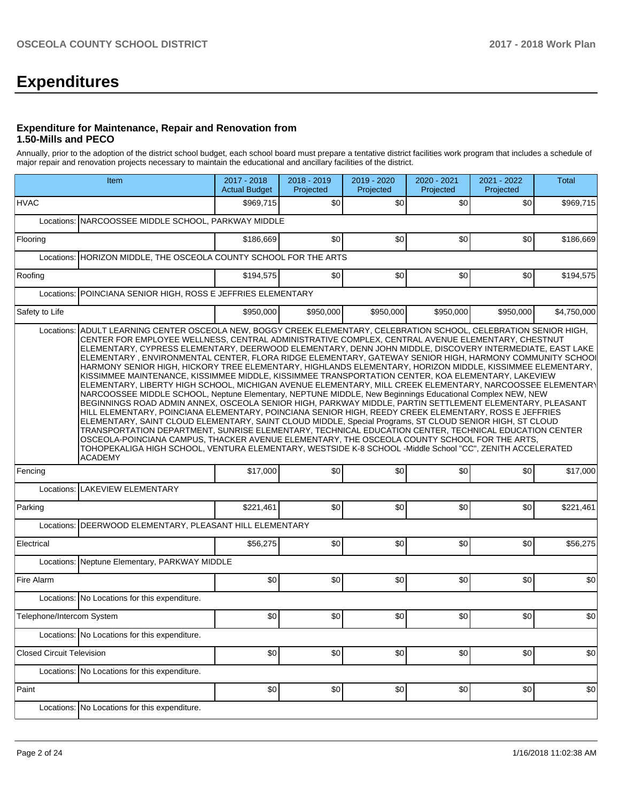# **Expenditures**

#### **Expenditure for Maintenance, Repair and Renovation from 1.50-Mills and PECO**

Annually, prior to the adoption of the district school budget, each school board must prepare a tentative district facilities work program that includes a schedule of major repair and renovation projects necessary to maintain the educational and ancillary facilities of the district.

| Item                                                                                                                                                                                                                                                                                                                                                                                                                                                                                                                                                                                                                                                                                                                                                                                                                                                                                                                                                                                                                                                                                                                                                                                                                                                                                                                                                                                                                                    | 2017 - 2018<br><b>Actual Budget</b> | 2018 - 2019<br>Projected | 2019 - 2020<br>Projected | 2020 - 2021<br>Projected | 2021 - 2022<br>Projected | <b>Total</b> |
|-----------------------------------------------------------------------------------------------------------------------------------------------------------------------------------------------------------------------------------------------------------------------------------------------------------------------------------------------------------------------------------------------------------------------------------------------------------------------------------------------------------------------------------------------------------------------------------------------------------------------------------------------------------------------------------------------------------------------------------------------------------------------------------------------------------------------------------------------------------------------------------------------------------------------------------------------------------------------------------------------------------------------------------------------------------------------------------------------------------------------------------------------------------------------------------------------------------------------------------------------------------------------------------------------------------------------------------------------------------------------------------------------------------------------------------------|-------------------------------------|--------------------------|--------------------------|--------------------------|--------------------------|--------------|
| <b>HVAC</b>                                                                                                                                                                                                                                                                                                                                                                                                                                                                                                                                                                                                                                                                                                                                                                                                                                                                                                                                                                                                                                                                                                                                                                                                                                                                                                                                                                                                                             | \$969,715                           | \$0 <sub>1</sub>         | \$0                      | \$0                      | \$0                      | \$969,715    |
| NARCOOSSEE MIDDLE SCHOOL, PARKWAY MIDDLE<br>Locations:                                                                                                                                                                                                                                                                                                                                                                                                                                                                                                                                                                                                                                                                                                                                                                                                                                                                                                                                                                                                                                                                                                                                                                                                                                                                                                                                                                                  |                                     |                          |                          |                          |                          |              |
| Flooring                                                                                                                                                                                                                                                                                                                                                                                                                                                                                                                                                                                                                                                                                                                                                                                                                                                                                                                                                                                                                                                                                                                                                                                                                                                                                                                                                                                                                                | \$186,669                           | \$0                      | \$0                      | \$0                      | \$0                      | \$186,669    |
| Locations: HORIZON MIDDLE, THE OSCEOLA COUNTY SCHOOL FOR THE ARTS                                                                                                                                                                                                                                                                                                                                                                                                                                                                                                                                                                                                                                                                                                                                                                                                                                                                                                                                                                                                                                                                                                                                                                                                                                                                                                                                                                       |                                     |                          |                          |                          |                          |              |
| Roofing                                                                                                                                                                                                                                                                                                                                                                                                                                                                                                                                                                                                                                                                                                                                                                                                                                                                                                                                                                                                                                                                                                                                                                                                                                                                                                                                                                                                                                 | \$194,575                           | \$0                      | \$0                      | \$0                      | \$0                      | \$194,575    |
| POINCIANA SENIOR HIGH, ROSS E JEFFRIES ELEMENTARY<br>Locations:                                                                                                                                                                                                                                                                                                                                                                                                                                                                                                                                                                                                                                                                                                                                                                                                                                                                                                                                                                                                                                                                                                                                                                                                                                                                                                                                                                         |                                     |                          |                          |                          |                          |              |
| Safety to Life                                                                                                                                                                                                                                                                                                                                                                                                                                                                                                                                                                                                                                                                                                                                                                                                                                                                                                                                                                                                                                                                                                                                                                                                                                                                                                                                                                                                                          | \$950,000                           | \$950,000                | \$950,000                | \$950,000                | \$950,000                | \$4,750,000  |
| CENTER FOR EMPLOYEE WELLNESS, CENTRAL ADMINISTRATIVE COMPLEX, CENTRAL AVENUE ELEMENTARY, CHESTNUT<br>ELEMENTARY, CYPRESS ELEMENTARY, DEERWOOD ELEMENTARY, DENN JOHN MIDDLE, DISCOVERY INTERMEDIATE, EAST LAKE<br>ELEMENTARY, ENVIRONMENTAL CENTER, FLORA RIDGE ELEMENTARY, GATEWAY SENIOR HIGH, HARMONY COMMUNITY SCHOOI<br>HARMONY SENIOR HIGH, HICKORY TREE ELEMENTARY, HIGHLANDS ELEMENTARY, HORIZON MIDDLE, KISSIMMEE ELEMENTARY,<br>KISSIMMEE MAINTENANCE, KISSIMMEE MIDDLE, KISSIMMEE TRANSPORTATION CENTER, KOA ELEMENTARY, LAKEVIEW<br>ELEMENTARY, LIBERTY HIGH SCHOOL, MICHIGAN AVENUE ELEMENTARY, MILL CREEK ELEMENTARY, NARCOOSSEE ELEMENTARY<br>NARCOOSSEE MIDDLE SCHOOL, Neptune Elementary, NEPTUNE MIDDLE, New Beginnings Educational Complex NEW, NEW<br>BEGINNINGS ROAD ADMIN ANNEX, OSCEOLA SENIOR HIGH, PARKWAY MIDDLE, PARTIN SETTLEMENT ELEMENTARY, PLEASANT<br>HILL ELEMENTARY, POINCIANA ELEMENTARY, POINCIANA SENIOR HIGH, REEDY CREEK ELEMENTARY, ROSS E JEFFRIES<br>ELEMENTARY, SAINT CLOUD ELEMENTARY, SAINT CLOUD MIDDLE, Special Programs, ST CLOUD SENIOR HIGH, ST CLOUD<br>TRANSPORTATION DEPARTMENT, SUNRISE ELEMENTARY, TECHNICAL EDUCATION CENTER, TECHNICAL EDUCATION CENTER<br>OSCEOLA-POINCIANA CAMPUS, THACKER AVENUE ELEMENTARY, THE OSCEOLA COUNTY SCHOOL FOR THE ARTS,<br>TOHOPEKALIGA HIGH SCHOOL, VENTURA ELEMENTARY, WESTSIDE K-8 SCHOOL -Middle School "CC", ZENITH ACCELERATED<br>ACADEMY |                                     |                          |                          |                          |                          |              |
| Fencing                                                                                                                                                                                                                                                                                                                                                                                                                                                                                                                                                                                                                                                                                                                                                                                                                                                                                                                                                                                                                                                                                                                                                                                                                                                                                                                                                                                                                                 | \$17,000                            | \$0                      | \$0                      | \$0                      | \$0                      | \$17,000     |
| <b>LAKEVIEW ELEMENTARY</b><br>Locations:                                                                                                                                                                                                                                                                                                                                                                                                                                                                                                                                                                                                                                                                                                                                                                                                                                                                                                                                                                                                                                                                                                                                                                                                                                                                                                                                                                                                |                                     |                          |                          |                          |                          |              |
| Parking                                                                                                                                                                                                                                                                                                                                                                                                                                                                                                                                                                                                                                                                                                                                                                                                                                                                                                                                                                                                                                                                                                                                                                                                                                                                                                                                                                                                                                 | \$221,461                           | \$0 <sub>1</sub>         | \$0                      | \$0                      | \$0                      | \$221,461    |
| Locations:   DEERWOOD ELEMENTARY, PLEASANT HILL ELEMENTARY                                                                                                                                                                                                                                                                                                                                                                                                                                                                                                                                                                                                                                                                                                                                                                                                                                                                                                                                                                                                                                                                                                                                                                                                                                                                                                                                                                              |                                     |                          |                          |                          |                          |              |
| Electrical                                                                                                                                                                                                                                                                                                                                                                                                                                                                                                                                                                                                                                                                                                                                                                                                                                                                                                                                                                                                                                                                                                                                                                                                                                                                                                                                                                                                                              | \$56,275                            | \$0                      | \$0                      | \$0                      | \$0                      | \$56,275     |
| Locations: Neptune Elementary, PARKWAY MIDDLE                                                                                                                                                                                                                                                                                                                                                                                                                                                                                                                                                                                                                                                                                                                                                                                                                                                                                                                                                                                                                                                                                                                                                                                                                                                                                                                                                                                           |                                     |                          |                          |                          |                          |              |
| Fire Alarm                                                                                                                                                                                                                                                                                                                                                                                                                                                                                                                                                                                                                                                                                                                                                                                                                                                                                                                                                                                                                                                                                                                                                                                                                                                                                                                                                                                                                              | \$0                                 | \$0                      | \$0                      | \$0                      | \$0                      | \$0          |
| Locations: No Locations for this expenditure.                                                                                                                                                                                                                                                                                                                                                                                                                                                                                                                                                                                                                                                                                                                                                                                                                                                                                                                                                                                                                                                                                                                                                                                                                                                                                                                                                                                           |                                     |                          |                          |                          |                          |              |
| Telephone/Intercom System                                                                                                                                                                                                                                                                                                                                                                                                                                                                                                                                                                                                                                                                                                                                                                                                                                                                                                                                                                                                                                                                                                                                                                                                                                                                                                                                                                                                               | \$0                                 | \$0                      | \$0                      | \$0                      | \$0                      | \$0          |
| Locations: No Locations for this expenditure.                                                                                                                                                                                                                                                                                                                                                                                                                                                                                                                                                                                                                                                                                                                                                                                                                                                                                                                                                                                                                                                                                                                                                                                                                                                                                                                                                                                           |                                     |                          |                          |                          |                          |              |
| <b>Closed Circuit Television</b>                                                                                                                                                                                                                                                                                                                                                                                                                                                                                                                                                                                                                                                                                                                                                                                                                                                                                                                                                                                                                                                                                                                                                                                                                                                                                                                                                                                                        | \$0                                 | \$0                      | \$0                      | \$0                      | \$0                      | \$0          |
| Locations: No Locations for this expenditure.                                                                                                                                                                                                                                                                                                                                                                                                                                                                                                                                                                                                                                                                                                                                                                                                                                                                                                                                                                                                                                                                                                                                                                                                                                                                                                                                                                                           |                                     |                          |                          |                          |                          |              |
| Paint                                                                                                                                                                                                                                                                                                                                                                                                                                                                                                                                                                                                                                                                                                                                                                                                                                                                                                                                                                                                                                                                                                                                                                                                                                                                                                                                                                                                                                   | \$0                                 | \$0                      | \$0                      | \$0                      | \$0                      | \$0          |
| Locations: No Locations for this expenditure.                                                                                                                                                                                                                                                                                                                                                                                                                                                                                                                                                                                                                                                                                                                                                                                                                                                                                                                                                                                                                                                                                                                                                                                                                                                                                                                                                                                           |                                     |                          |                          |                          |                          |              |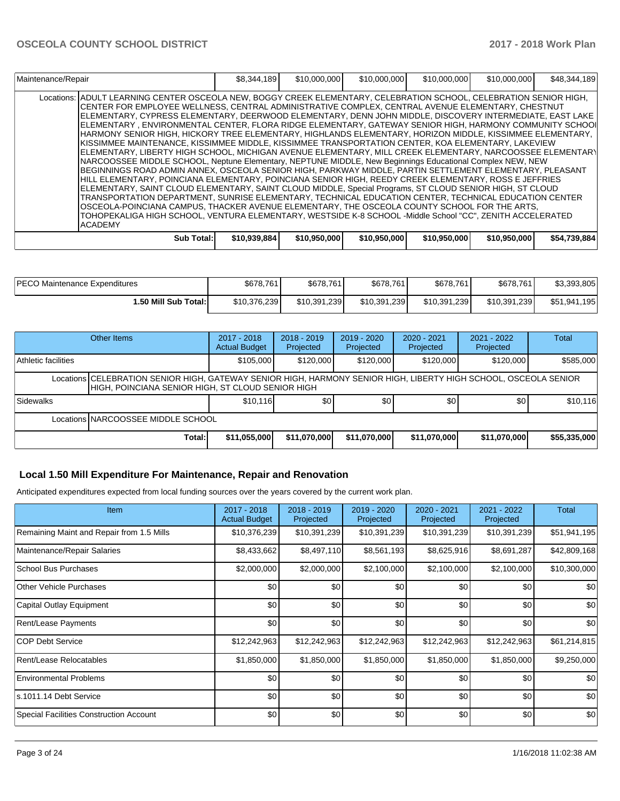| Maintenance/Repair                                                                                                                                                                                                                                                                                                                                                                                                                                                                                                                                                                                                                                                                                                                                                                                                                                                                                                                                                                                                                                                                                                                                                                                                                                                                                                                                                                                                                                                                                                                                                           | \$8,344,189  | \$10,000,000 | \$10,000,000 | \$10,000,000 | \$10,000,000 | \$48,344,189 |
|------------------------------------------------------------------------------------------------------------------------------------------------------------------------------------------------------------------------------------------------------------------------------------------------------------------------------------------------------------------------------------------------------------------------------------------------------------------------------------------------------------------------------------------------------------------------------------------------------------------------------------------------------------------------------------------------------------------------------------------------------------------------------------------------------------------------------------------------------------------------------------------------------------------------------------------------------------------------------------------------------------------------------------------------------------------------------------------------------------------------------------------------------------------------------------------------------------------------------------------------------------------------------------------------------------------------------------------------------------------------------------------------------------------------------------------------------------------------------------------------------------------------------------------------------------------------------|--------------|--------------|--------------|--------------|--------------|--------------|
| Locations: IADULT LEARNING CENTER OSCEOLA NEW. BOGGY CREEK ELEMENTARY. CELEBRATION SCHOOL. CELEBRATION SENIOR HIGH.<br>ICENTER FOR EMPLOYEE WELLNESS. CENTRAL ADMINISTRATIVE COMPLEX. CENTRAL AVENUE ELEMENTARY. CHESTNUT<br>IELEMENTARY. CYPRESS ELEMENTARY. DEERWOOD ELEMENTARY. DENN JOHN MIDDLE. DISCOVERY INTERMEDIATE. EAST LAKE<br>IELEMENTARY . ENVIRONMENTAL CENTER. FLORA RIDGE ELEMENTARY. GATEWAY SENIOR HIGH. HARMONY COMMUNITY SCHOOI<br>HARMONY SENIOR HIGH. HICKORY TREE ELEMENTARY. HIGHLANDS ELEMENTARY. HORIZON MIDDLE. KISSIMMEE ELEMENTARY.<br>IKISSIMMEE MAINTENANCE. KISSIMMEE MIDDLE. KISSIMMEE TRANSPORTATION CENTER. KOA ELEMENTARY. LAKEVIEW<br>IELEMENTARY. LIBERTY HIGH SCHOOL. MICHIGAN AVENUE ELEMENTARY. MILL CREEK ELEMENTARY. NARCOOSSEE ELEMENTARY<br>NARCOOSSEE MIDDLE SCHOOL, Neptune Elementary, NEPTUNE MIDDLE, New Beginnings Educational Complex NEW, NEW<br>BEGINNINGS ROAD ADMIN ANNEX, OSCEOLA SENIOR HIGH, PARKWAY MIDDLE, PARTIN SETTLEMENT ELEMENTARY, PLEASANT<br>IHILL ELEMENTARY. POINCIANA ELEMENTARY. POINCIANA SENIOR HIGH. REEDY CREEK ELEMENTARY. ROSS E JEFFRIES<br>ELEMENTARY, SAINT CLOUD ELEMENTARY, SAINT CLOUD MIDDLE, Special Programs, ST CLOUD SENIOR HIGH, ST CLOUD<br>TRANSPORTATION DEPARTMENT. SUNRISE ELEMENTARY. TECHNICAL EDUCATION CENTER. TECHNICAL EDUCATION CENTER<br>OSCEOLA-POINCIANA CAMPUS, THACKER AVENUE ELEMENTARY, THE OSCEOLA COUNTY SCHOOL FOR THE ARTS,<br>TOHOPEKALIGA HIGH SCHOOL. VENTURA ELEMENTARY. WESTSIDE K-8 SCHOOL -Middle School "CC". ZENITH ACCELERATED<br><b>ACADEMY</b> |              |              |              |              |              |              |
| Sub Total:                                                                                                                                                                                                                                                                                                                                                                                                                                                                                                                                                                                                                                                                                                                                                                                                                                                                                                                                                                                                                                                                                                                                                                                                                                                                                                                                                                                                                                                                                                                                                                   | \$10,939,884 | \$10,950,000 | \$10,950,000 | \$10,950,000 | \$10,950,000 | \$54,739,884 |

| <b>PECO Maintenance Expenditures</b> | \$678,761    | \$678,761    | \$678,761    | \$678,761    | \$678,761    | \$3,393,805  |
|--------------------------------------|--------------|--------------|--------------|--------------|--------------|--------------|
| 1.50 Mill Sub Total:                 | \$10,376,239 | \$10.391.239 | \$10.391.239 | \$10.391.239 | \$10,391,239 | \$51,941,195 |

|                     | Other Items                                                                                                                                                           | $2017 - 2018$<br><b>Actual Budget</b> | $2018 - 2019$<br>Projected | $2019 - 2020$<br>Projected | 2020 - 2021<br>Projected | $2021 - 2022$<br>Projected | Total        |
|---------------------|-----------------------------------------------------------------------------------------------------------------------------------------------------------------------|---------------------------------------|----------------------------|----------------------------|--------------------------|----------------------------|--------------|
| Athletic facilities |                                                                                                                                                                       | \$105,000                             | \$120,000                  | \$120,000                  | \$120,000                | \$120,000                  | \$585,000    |
|                     | Locations CELEBRATION SENIOR HIGH, GATEWAY SENIOR HIGH, HARMONY SENIOR HIGH, LIBERTY HIGH SCHOOL, OSCEOLA SENIOR<br>HIGH, POINCIANA SENIOR HIGH, ST CLOUD SENIOR HIGH |                                       |                            |                            |                          |                            |              |
| Sidewalks           |                                                                                                                                                                       | \$10.116                              | \$0                        | \$0 <sub>0</sub>           | \$0 <sub>1</sub>         | \$0                        | \$10,116     |
|                     | Locations INARCOOSSEE MIDDLE SCHOOL                                                                                                                                   |                                       |                            |                            |                          |                            |              |
|                     | Total:                                                                                                                                                                | \$11,055,000                          | \$11,070,000               | \$11,070,000               | \$11,070,000             | \$11,070,000               | \$55,335,000 |

## **Local 1.50 Mill Expenditure For Maintenance, Repair and Renovation**

Anticipated expenditures expected from local funding sources over the years covered by the current work plan.

| <b>Item</b>                                    | 2017 - 2018<br><b>Actual Budget</b> | $2018 - 2019$<br>Projected | 2019 - 2020<br>Projected | 2020 - 2021<br>Projected | 2021 - 2022<br>Projected | Total        |
|------------------------------------------------|-------------------------------------|----------------------------|--------------------------|--------------------------|--------------------------|--------------|
| Remaining Maint and Repair from 1.5 Mills      | \$10,376,239                        | \$10,391,239               | \$10,391,239             | \$10,391,239             | \$10,391,239             | \$51,941,195 |
| Maintenance/Repair Salaries                    | \$8,433,662                         | \$8,497,110                | \$8,561,193              | \$8,625,916              | \$8,691,287              | \$42,809,168 |
| <b>School Bus Purchases</b>                    | \$2,000,000                         | \$2,000,000                | \$2,100,000              | \$2,100,000              | \$2,100,000              | \$10,300,000 |
| <b>Other Vehicle Purchases</b>                 | \$0                                 | \$0                        | \$0                      | \$0                      | \$0                      | \$0          |
| Capital Outlay Equipment                       | \$0                                 | \$0                        | \$0                      | \$0                      | \$0                      | \$0          |
| Rent/Lease Payments                            | \$0                                 | \$0                        | \$0                      | \$0                      | \$0                      | \$0          |
| COP Debt Service                               | \$12,242,963                        | \$12,242,963               | \$12,242,963             | \$12,242,963             | \$12,242,963             | \$61,214,815 |
| Rent/Lease Relocatables                        | \$1,850,000                         | \$1,850,000                | \$1,850,000              | \$1,850,000              | \$1,850,000              | \$9,250,000  |
| <b>Environmental Problems</b>                  | \$0                                 | \$0                        | \$0                      | \$0                      | \$0                      | \$0          |
| s.1011.14 Debt Service                         | \$0 <sub>1</sub>                    | \$0                        | \$0                      | \$0                      | \$0                      | \$0          |
| <b>Special Facilities Construction Account</b> | \$0 <sub>1</sub>                    | \$0                        | \$0                      | \$0                      | \$0                      | \$0          |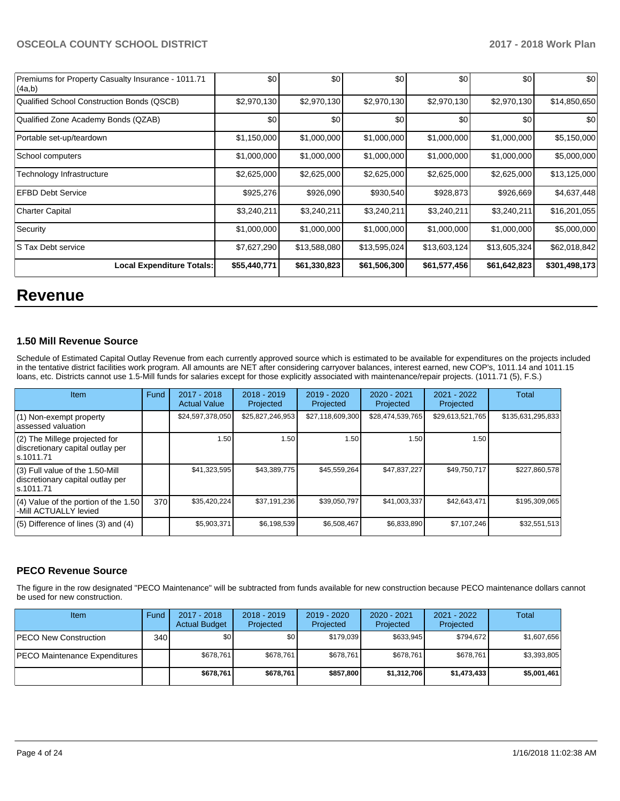| Premiums for Property Casualty Insurance - 1011.71<br>(4a,b) | \$0          | \$0          | \$0          | \$0          | \$0          | \$0           |
|--------------------------------------------------------------|--------------|--------------|--------------|--------------|--------------|---------------|
| Qualified School Construction Bonds (QSCB)                   | \$2,970,130  | \$2,970,130  | \$2,970,130  | \$2,970,130  | \$2,970,130  | \$14,850,650  |
| Qualified Zone Academy Bonds (QZAB)                          | \$0          | \$0          | \$0          | \$0          | \$0          | \$0           |
| Portable set-up/teardown                                     | \$1,150,000  | \$1,000,000  | \$1,000,000  | \$1,000,000  | \$1,000,000  | \$5,150,000   |
| School computers                                             | \$1,000,000  | \$1,000,000  | \$1,000,000  | \$1,000,000  | \$1,000,000  | \$5,000,000   |
| Technology Infrastructure                                    | \$2,625,000  | \$2,625,000  | \$2,625,000  | \$2,625,000  | \$2,625,000  | \$13,125,000  |
| <b>EFBD Debt Service</b>                                     | \$925,276    | \$926,090    | \$930,540    | \$928,873    | \$926,669    | \$4,637,448   |
| Charter Capital                                              | \$3,240,211  | \$3,240,211  | \$3,240,211  | \$3,240,211  | \$3,240,211  | \$16,201,055  |
| Security                                                     | \$1,000,000  | \$1,000,000  | \$1,000,000  | \$1,000,000  | \$1,000,000  | \$5,000,000   |
| IS Tax Debt service                                          | \$7,627,290  | \$13,588,080 | \$13,595,024 | \$13,603,124 | \$13,605,324 | \$62,018,842  |
| <b>Local Expenditure Totals:</b>                             | \$55,440,771 | \$61,330,823 | \$61,506,300 | \$61,577,456 | \$61,642,823 | \$301,498,173 |

## **Revenue**

### **1.50 Mill Revenue Source**

Schedule of Estimated Capital Outlay Revenue from each currently approved source which is estimated to be available for expenditures on the projects included in the tentative district facilities work program. All amounts are NET after considering carryover balances, interest earned, new COP's, 1011.14 and 1011.15 loans, etc. Districts cannot use 1.5-Mill funds for salaries except for those explicitly associated with maintenance/repair projects. (1011.71 (5), F.S.)

| Item                                                                                | Fund | $2017 - 2018$<br><b>Actual Value</b> | $2018 - 2019$<br>Projected | 2019 - 2020<br>Projected | $2020 - 2021$<br>Projected | 2021 - 2022<br>Projected | Total             |
|-------------------------------------------------------------------------------------|------|--------------------------------------|----------------------------|--------------------------|----------------------------|--------------------------|-------------------|
| $(1)$ Non-exempt property<br>assessed valuation                                     |      | \$24,597,378,050                     | \$25,827,246,953           | \$27,118,609,300         | \$28,474,539,765           | \$29,613,521,765         | \$135,631,295,833 |
| (2) The Millege projected for<br>discretionary capital outlay per<br>ls.1011.71     |      | 1.50                                 | 1.50                       | 1.50                     | 1.50                       | 1.50 l                   |                   |
| $(3)$ Full value of the 1.50-Mill<br>discretionary capital outlay per<br>ls.1011.71 |      | \$41,323,595                         | \$43,389,775               | \$45,559,264             | \$47,837,227               | \$49,750,717             | \$227,860,578     |
| (4) Value of the portion of the 1.50<br>-Mill ACTUALLY levied                       | 370  | \$35,420,224                         | \$37.191.236               | \$39,050,797             | \$41,003,337               | \$42,643,471             | \$195,309,065     |
| $(5)$ Difference of lines $(3)$ and $(4)$                                           |      | \$5,903,371                          | \$6,198,539                | \$6,508,467              | \$6,833,890                | \$7,107,246              | \$32,551,513      |

## **PECO Revenue Source**

The figure in the row designated "PECO Maintenance" will be subtracted from funds available for new construction because PECO maintenance dollars cannot be used for new construction.

| <b>Item</b>                          | Fund         | $2017 - 2018$<br><b>Actual Budget</b> | $2018 - 2019$<br>Projected | 2019 - 2020<br>Projected | 2020 - 2021<br>Projected | 2021 - 2022<br>Projected | Total       |
|--------------------------------------|--------------|---------------------------------------|----------------------------|--------------------------|--------------------------|--------------------------|-------------|
| <b>IPECO New Construction</b>        | 340 <b>I</b> | \$0                                   | \$0                        | \$179.039                | \$633.945                | \$794.672                | \$1,607,656 |
| <b>PECO Maintenance Expenditures</b> |              | \$678.761                             | \$678.761                  | \$678.761                | \$678.761                | \$678,761                | \$3,393,805 |
|                                      |              | \$678.761                             | \$678,761                  | \$857,800                | \$1,312,706              | \$1,473,433              | \$5,001,461 |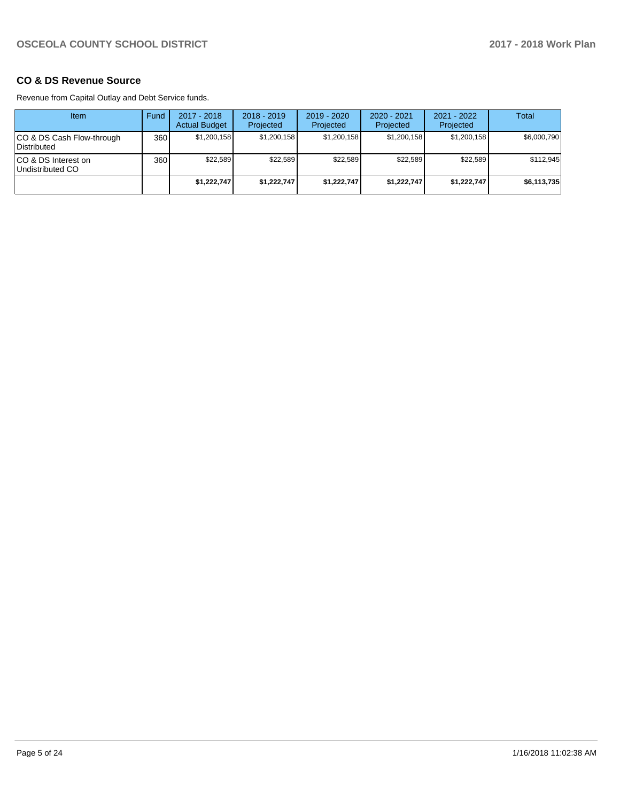### **CO & DS Revenue Source**

Revenue from Capital Outlay and Debt Service funds.

| Item                                      | Fund | 2017 - 2018<br><b>Actual Budget</b> | $2018 - 2019$<br>Projected | $2019 - 2020$<br>Projected | $2020 - 2021$<br>Projected | $2021 - 2022$<br>Projected | Total       |
|-------------------------------------------|------|-------------------------------------|----------------------------|----------------------------|----------------------------|----------------------------|-------------|
| ICO & DS Cash Flow-through<br>Distributed | 360  | \$1,200,158                         | \$1,200,158                | \$1,200,158                | \$1,200,158                | \$1,200,158                | \$6,000,790 |
| ICO & DS Interest on<br>Undistributed CO  | 360  | \$22,589                            | \$22.589                   | \$22.589                   | \$22.589                   | \$22.589                   | \$112,945   |
|                                           |      | \$1,222,747                         | \$1,222,747                | \$1,222,747                | \$1,222,747                | \$1,222,747                | \$6,113,735 |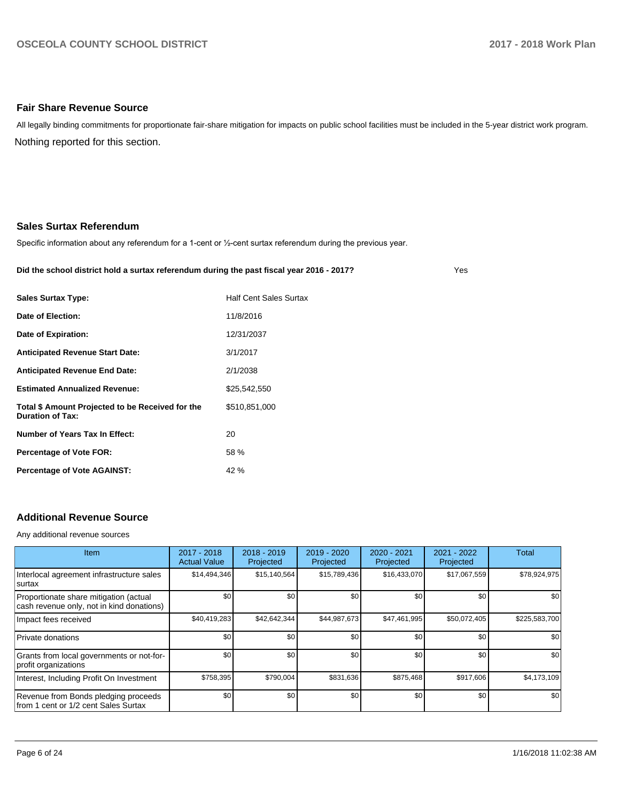#### **Fair Share Revenue Source**

Nothing reported for this section. All legally binding commitments for proportionate fair-share mitigation for impacts on public school facilities must be included in the 5-year district work program.

#### **Sales Surtax Referendum**

Specific information about any referendum for a 1-cent or 1/2-cent surtax referendum during the previous year.

#### **Did the school district hold a surtax referendum during the past fiscal year 2016 - 2017?**

Yes

| <b>Sales Surtax Type:</b>                                                   | <b>Half Cent Sales Surtax</b> |
|-----------------------------------------------------------------------------|-------------------------------|
| Date of Election:                                                           | 11/8/2016                     |
| Date of Expiration:                                                         | 12/31/2037                    |
| <b>Anticipated Revenue Start Date:</b>                                      | 3/1/2017                      |
| <b>Anticipated Revenue End Date:</b>                                        | 2/1/2038                      |
| <b>Estimated Annualized Revenue:</b>                                        | \$25,542,550                  |
| Total \$ Amount Projected to be Received for the<br><b>Duration of Tax:</b> | \$510.851.000                 |
| Number of Years Tax In Effect:                                              | 20                            |
| <b>Percentage of Vote FOR:</b>                                              | 58 %                          |
| <b>Percentage of Vote AGAINST:</b>                                          | 42 %                          |

## **Additional Revenue Source**

Any additional revenue sources

| <b>Item</b>                                                                         | 2017 - 2018<br><b>Actual Value</b> | $2018 - 2019$<br>Projected | 2019 - 2020<br>Projected | 2020 - 2021<br>Projected | 2021 - 2022<br>Projected | Total         |
|-------------------------------------------------------------------------------------|------------------------------------|----------------------------|--------------------------|--------------------------|--------------------------|---------------|
| Interlocal agreement infrastructure sales<br>Isurtax                                | \$14,494,346                       | \$15,140,564               | \$15,789,436             | \$16,433,070             | \$17,067,559             | \$78,924,975  |
| Proportionate share mitigation (actual<br>cash revenue only, not in kind donations) | \$0                                | \$0 <sub>1</sub>           | \$0                      | \$0                      | \$0                      | \$0           |
| Impact fees received                                                                | \$40,419,283                       | \$42.642.344               | \$44,987,673             | \$47,461,995             | \$50,072,405             | \$225,583,700 |
| Private donations                                                                   | \$0                                | \$0 <sub>1</sub>           | \$0                      | \$0                      | \$0                      | \$0           |
| Grants from local governments or not-for-<br>profit organizations                   | \$0                                | \$0 <sub>1</sub>           | \$0                      | \$0                      | \$0                      | \$0           |
| Interest, Including Profit On Investment                                            | \$758,395                          | \$790,004                  | \$831,636                | \$875,468                | \$917,606                | \$4,173,109   |
| Revenue from Bonds pledging proceeds<br>from 1 cent or 1/2 cent Sales Surtax        | \$0                                | \$0 <sub>1</sub>           | \$0                      | \$0                      | \$0                      | \$0           |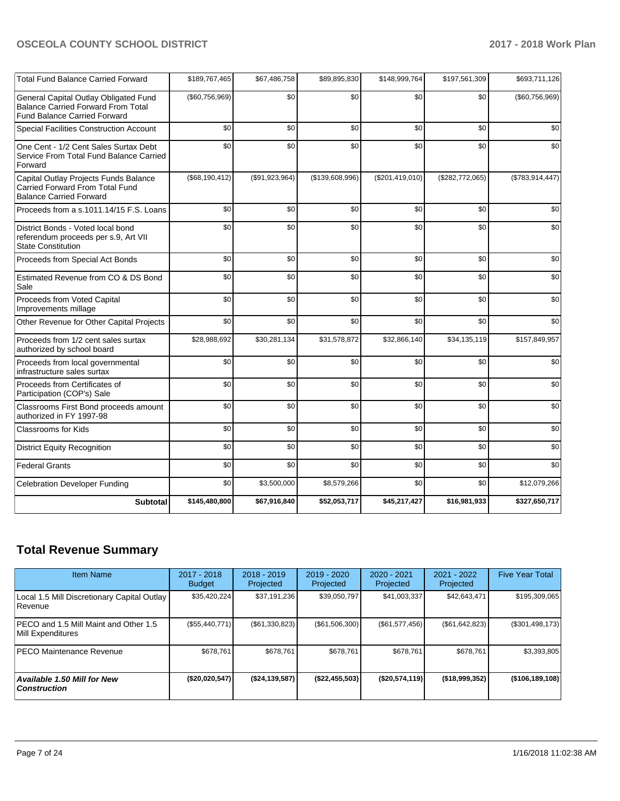| <b>Total Fund Balance Carried Forward</b>                                                                                 | \$189,767,465  | \$67,486,758   | \$89,895,830    | \$148,999,764   | \$197,561,309   | \$693,711,126   |
|---------------------------------------------------------------------------------------------------------------------------|----------------|----------------|-----------------|-----------------|-----------------|-----------------|
| General Capital Outlay Obligated Fund<br><b>Balance Carried Forward From Total</b><br><b>Fund Balance Carried Forward</b> | (\$60,756,969) | \$0            | \$0             | \$0             | \$0             | (\$60,756,969)  |
| <b>Special Facilities Construction Account</b>                                                                            | \$0            | \$0            | \$0             | \$0             | \$0             | \$0             |
| One Cent - 1/2 Cent Sales Surtax Debt<br>Service From Total Fund Balance Carried<br>Forward                               | \$0            | \$0            | \$0             | \$0             | \$0             | \$0             |
| Capital Outlay Projects Funds Balance<br>Carried Forward From Total Fund<br><b>Balance Carried Forward</b>                | (\$68,190,412) | (\$91,923,964) | (\$139,608,996) | (\$201,419,010) | (\$282,772,065) | (\$783,914,447) |
| Proceeds from a s.1011.14/15 F.S. Loans                                                                                   | \$0            | \$0            | \$0             | \$0             | \$0             | \$0             |
| District Bonds - Voted local bond<br>referendum proceeds per s.9, Art VII<br><b>State Constitution</b>                    | \$0            | \$0            | \$0             | \$0             | \$0             | \$0             |
| Proceeds from Special Act Bonds                                                                                           | \$0            | \$0            | \$0             | \$0             | \$0             | \$0             |
| Estimated Revenue from CO & DS Bond<br>Sale                                                                               | \$0            | \$0            | \$0             | \$0             | \$0             | \$0             |
| Proceeds from Voted Capital<br>Improvements millage                                                                       | \$0            | \$0            | \$0             | \$0             | \$0             | \$0             |
| Other Revenue for Other Capital Projects                                                                                  | \$0            | \$0            | \$0             | \$0             | \$0             | \$0             |
| Proceeds from 1/2 cent sales surtax<br>authorized by school board                                                         | \$28,988,692   | \$30,281,134   | \$31,578,872    | \$32,866,140    | \$34,135,119    | \$157,849,957   |
| Proceeds from local governmental<br>infrastructure sales surtax                                                           | \$0            | \$0            | \$0             | \$0             | \$0             | \$0             |
| Proceeds from Certificates of<br>Participation (COP's) Sale                                                               | \$0            | \$0            | \$0             | \$0             | \$0             | \$0             |
| Classrooms First Bond proceeds amount<br>authorized in FY 1997-98                                                         | \$0            | \$0            | \$0             | \$0             | \$0             | \$0             |
| Classrooms for Kids                                                                                                       | \$0            | \$0            | \$0             | \$0             | \$0             | \$0             |
| <b>District Equity Recognition</b>                                                                                        | \$0            | \$0            | \$0             | \$0             | \$0             | \$0             |
| <b>Federal Grants</b>                                                                                                     | \$0            | \$0            | \$0             | \$0             | \$0             | \$0             |
| <b>Celebration Developer Funding</b>                                                                                      | \$0            | \$3,500,000    | \$8,579,266     | \$0             | \$0             | \$12,079,266    |
| <b>Subtotal</b>                                                                                                           | \$145,480,800  | \$67,916,840   | \$52,053,717    | \$45,217,427    | \$16,981,933    | \$327,650,717   |

## **Total Revenue Summary**

| <b>Item Name</b>                                              | 2017 - 2018<br><b>Budget</b> | $2018 - 2019$<br>Projected | $2019 - 2020$<br>Projected | $2020 - 2021$<br>Projected | 2021 - 2022<br>Projected | <b>Five Year Total</b> |
|---------------------------------------------------------------|------------------------------|----------------------------|----------------------------|----------------------------|--------------------------|------------------------|
| Local 1.5 Mill Discretionary Capital Outlay<br><b>Revenue</b> | \$35,420,224                 | \$37,191,236               | \$39,050,797               | \$41,003,337               | \$42,643,471             | \$195,309,065          |
| PECO and 1.5 Mill Maint and Other 1.5<br>Mill Expenditures    | (\$55,440,771)               | (S61, 330, 823)            | $(\$61,506,300)$           | $(\$61,577,456)$           | (\$61,642,823)           | (\$301,498,173)        |
| <b>PECO Maintenance Revenue</b>                               | \$678.761                    | \$678,761                  | \$678,761                  | \$678.761                  | \$678.761                | \$3,393,805            |
| Available 1.50 Mill for New<br>  Construction                 | (\$20,020,547)               | (S24, 139, 587)            | $($ \$22,455,503)          | (\$20,574,119)             | ( \$18,999,352)          | (\$106,189,108)        |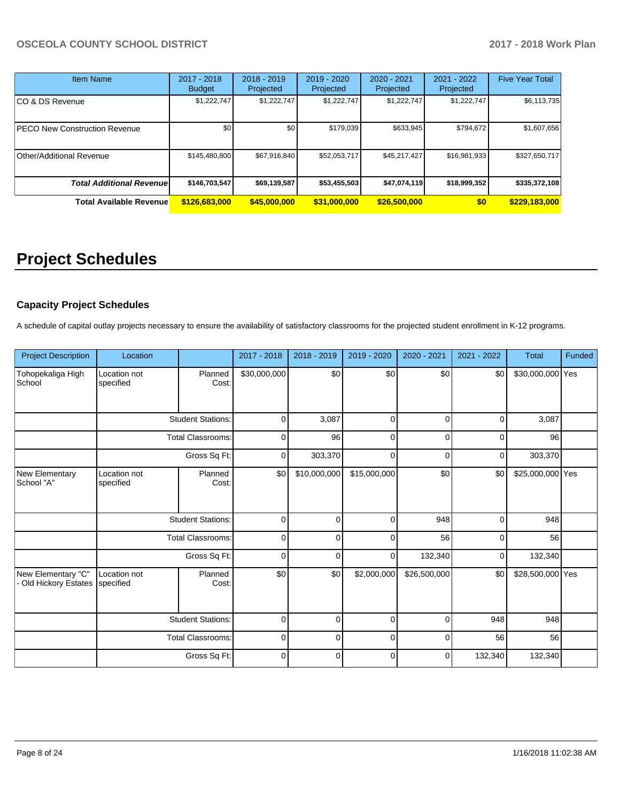| <b>Item Name</b>                 | 2017 - 2018<br><b>Budget</b> | $2018 - 2019$<br>Projected | 2019 - 2020<br>Projected | $2020 - 2021$<br>Projected | $2021 - 2022$<br>Projected | <b>Five Year Total</b> |
|----------------------------------|------------------------------|----------------------------|--------------------------|----------------------------|----------------------------|------------------------|
| CO & DS Revenue                  | \$1,222,747                  | \$1,222,747                | \$1,222,747              | \$1,222,747                | \$1,222,747                | \$6,113,735            |
| PECO New Construction Revenue    | \$0                          | \$0                        | \$179,039                | \$633,945                  | \$794,672                  | \$1,607,656            |
| Other/Additional Revenue         | \$145,480,800                | \$67,916,840               | \$52,053,717             | \$45,217,427               | \$16,981,933               | \$327,650,717          |
| <b>Total Additional Revenuel</b> | \$146,703,547                | \$69,139,587               | \$53,455,503             | \$47,074,119               | \$18,999,352               | \$335,372,108          |
| <b>Total Available Revenue</b>   | \$126,683,000                | \$45,000,000               | \$31,000,000             | \$26,500,000               | \$0                        | \$229,183,000          |

# **Project Schedules**

## **Capacity Project Schedules**

A schedule of capital outlay projects necessary to ensure the availability of satisfactory classrooms for the projected student enrollment in K-12 programs.

| <b>Project Description</b>                | Location                  |                          | 2017 - 2018  | 2018 - 2019    | 2019 - 2020  | 2020 - 2021  | 2021 - 2022 | <b>Total</b>     | Funded |
|-------------------------------------------|---------------------------|--------------------------|--------------|----------------|--------------|--------------|-------------|------------------|--------|
| Tohopekaliga High<br>School               | Location not<br>specified | Planned<br>Cost:         | \$30,000,000 | \$0            | \$0          | \$0          | \$0         | \$30,000,000 Yes |        |
|                                           |                           | <b>Student Stations:</b> | $\mathbf 0$  | 3,087          | $\mathbf 0$  | $\Omega$     | $\mathbf 0$ | 3,087            |        |
|                                           |                           | <b>Total Classrooms:</b> | 0            | 96             | $\mathbf 0$  | $\Omega$     | 0           | 96               |        |
|                                           |                           | Gross Sq Ft:             | $\mathbf 0$  | 303,370        | $\mathbf 0$  | $\Omega$     | $\mathbf 0$ | 303,370          |        |
| New Elementary<br>School "A"              | Location not<br>specified | Planned<br>Cost:         | \$0          | \$10,000,000   | \$15,000,000 | \$0          | \$0         | \$25,000,000 Yes |        |
|                                           |                           | <b>Student Stations:</b> | $\mathbf 0$  | $\mathbf 0$    | $\mathbf 0$  | 948          | $\mathbf 0$ | 948              |        |
|                                           |                           | <b>Total Classrooms:</b> | $\mathbf 0$  | $\overline{0}$ | $\mathbf 0$  | 56           | $\mathbf 0$ | 56               |        |
|                                           |                           | Gross Sq Ft:             | $\mathbf 0$  | $\Omega$       | $\mathbf 0$  | 132,340      | 0           | 132,340          |        |
| New Elementary "C"<br>Old Hickory Estates | Location not<br>specified | Planned<br>Cost:         | \$0          | \$0            | \$2,000,000  | \$26,500,000 | \$0         | \$28,500,000 Yes |        |
|                                           |                           | <b>Student Stations:</b> | 0            | 0              | $\mathbf 0$  | $\Omega$     | 948         | 948              |        |
|                                           |                           | Total Classrooms:        | $\mathbf 0$  | $\mathbf 0$    | 0            | 0            | 56          | 56               |        |
|                                           |                           | Gross Sq Ft:             | $\mathbf 0$  | 0              | $\mathbf 0$  | 0            | 132,340     | 132,340          |        |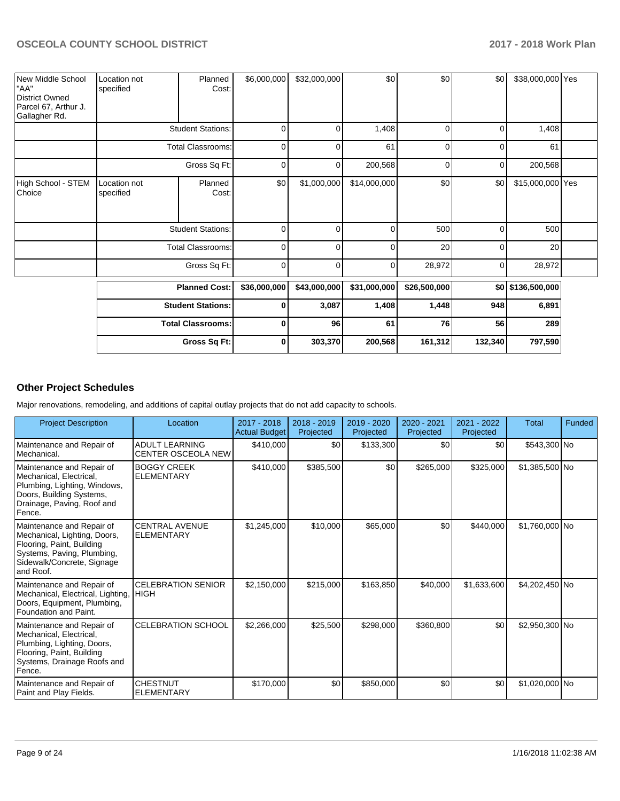| New Middle School<br>"AA"<br>District Owned<br>Parcel 67, Arthur J.<br>Gallagher Rd. | Location not<br>specified | Planned<br>Cost:         | \$6,000,000  | \$32,000,000 | \$0          | \$0            | \$0      | \$38,000,000 Yes  |  |
|--------------------------------------------------------------------------------------|---------------------------|--------------------------|--------------|--------------|--------------|----------------|----------|-------------------|--|
|                                                                                      |                           | <b>Student Stations:</b> | $\mathbf 0$  | 0            | 1,408        | 0              | 0        | 1,408             |  |
|                                                                                      |                           | <b>Total Classrooms:</b> | $\mathbf 0$  | 0            | 61           | $\overline{0}$ | 0        | 61                |  |
|                                                                                      |                           | Gross Sq Ft:             | $\mathbf 0$  | 0            | 200,568      | $\overline{0}$ | 0        | 200,568           |  |
| High School - STEM<br>Choice                                                         | Location not<br>specified | Planned<br>Cost:         | \$0          | \$1,000,000  | \$14,000,000 | \$0            | \$0      | \$15,000,000 Yes  |  |
|                                                                                      |                           | <b>Student Stations:</b> | $\mathbf 0$  | $\Omega$     | $\mathbf 0$  | 500            | $\Omega$ | 500               |  |
|                                                                                      |                           | <b>Total Classrooms:</b> | 0            | 0            | 0            | 20             | 0        | 20                |  |
|                                                                                      |                           | Gross Sq Ft:             | $\mathbf 0$  | 0            | 0            | 28,972         | 0        | 28,972            |  |
|                                                                                      |                           | <b>Planned Cost:</b>     | \$36,000,000 | \$43,000,000 | \$31,000,000 | \$26,500,000   |          | \$0 \$136,500,000 |  |
|                                                                                      |                           | <b>Student Stations:</b> | $\mathbf 0$  | 3,087        | 1,408        | 1,448          | 948      | 6,891             |  |
|                                                                                      |                           | <b>Total Classrooms:</b> | $\mathbf 0$  | 96           | 61           | 76             | 56       | 289               |  |
|                                                                                      |                           | Gross Sq Ft:             | 0            | 303,370      | 200,568      | 161,312        | 132,340  | 797,590           |  |

## **Other Project Schedules**

Major renovations, remodeling, and additions of capital outlay projects that do not add capacity to schools.

| <b>Project Description</b>                                                                                                                                      | Location                                           | $2017 - 2018$<br><b>Actual Budget</b> | 2018 - 2019<br>Projected | $2019 - 2020$<br>Projected | $2020 - 2021$<br>Projected | $2021 - 2022$<br>Projected | <b>Total</b>   | Funded |
|-----------------------------------------------------------------------------------------------------------------------------------------------------------------|----------------------------------------------------|---------------------------------------|--------------------------|----------------------------|----------------------------|----------------------------|----------------|--------|
| Maintenance and Repair of<br>Mechanical.                                                                                                                        | <b>ADULT LEARNING</b><br><b>CENTER OSCEOLA NEW</b> | \$410,000                             | \$0                      | \$133,300                  | \$0                        | \$0                        | \$543,300 No   |        |
| Maintenance and Repair of<br>Mechanical, Electrical,<br>Plumbing, Lighting, Windows,<br>Doors, Building Systems,<br>Drainage, Paving, Roof and<br>Fence.        | <b>BOGGY CREEK</b><br><b>ELEMENTARY</b>            | \$410,000                             | \$385,500                | \$0                        | \$265,000                  | \$325,000                  | \$1,385,500 No |        |
| Maintenance and Repair of<br>Mechanical, Lighting, Doors,<br>Flooring, Paint, Building<br>Systems, Paving, Plumbing,<br>Sidewalk/Concrete, Signage<br>and Roof. | <b>CENTRAL AVENUE</b><br>ELEMENTARY                | \$1,245,000                           | \$10,000                 | \$65,000                   | \$0                        | \$440,000                  | \$1,760,000 No |        |
| Maintenance and Repair of<br>Mechanical, Electrical, Lighting,<br>Doors, Equipment, Plumbing,<br>Foundation and Paint.                                          | <b>CELEBRATION SENIOR</b><br><b>HIGH</b>           | \$2,150,000                           | \$215,000                | \$163,850                  | \$40,000                   | \$1,633,600                | \$4,202,450 No |        |
| Maintenance and Repair of<br>Mechanical, Electrical,<br>Plumbing, Lighting, Doors,<br>Flooring, Paint, Building<br>Systems, Drainage Roofs and<br>Fence.        | <b>CELEBRATION SCHOOL</b>                          | \$2,266,000                           | \$25,500                 | \$298,000                  | \$360,800                  | \$0                        | \$2,950,300 No |        |
| Maintenance and Repair of<br>Paint and Play Fields.                                                                                                             | <b>CHESTNUT</b><br><b>ELEMENTARY</b>               | \$170,000                             | \$0                      | \$850,000                  | \$0                        | \$0                        | \$1,020,000 No |        |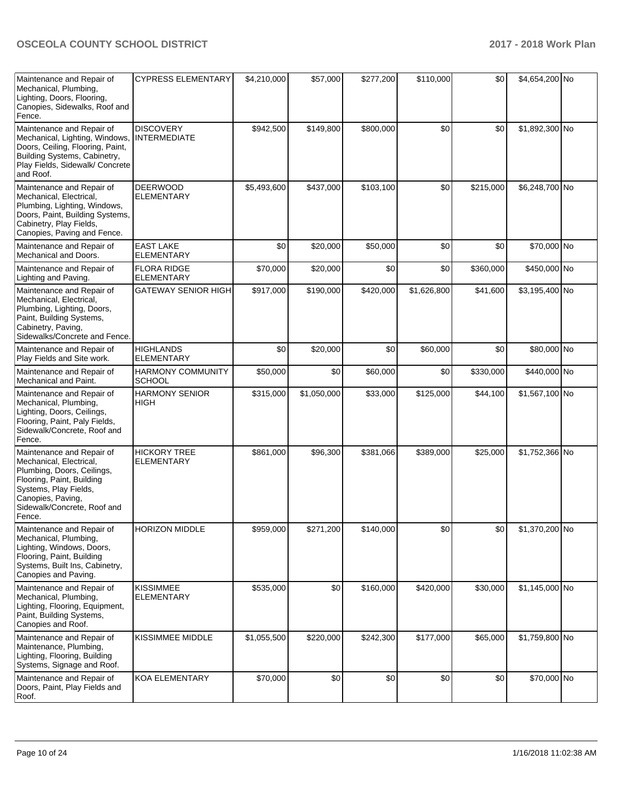| Maintenance and Repair of<br>Mechanical, Plumbing,<br>Lighting, Doors, Flooring,<br>Canopies, Sidewalks, Roof and<br>Fence.                                                                            | <b>CYPRESS ELEMENTARY</b>                 | \$4,210,000 | \$57,000    | \$277,200 | \$110,000   | \$0       | \$4,654,200 No  |  |
|--------------------------------------------------------------------------------------------------------------------------------------------------------------------------------------------------------|-------------------------------------------|-------------|-------------|-----------|-------------|-----------|-----------------|--|
| Maintenance and Repair of<br>Mechanical, Lighting, Windows,<br>Doors, Ceiling, Flooring, Paint,<br>Building Systems, Cabinetry,<br>Play Fields, Sidewalk/ Concrete<br>and Roof.                        | <b>DISCOVERY</b><br><b>INTERMEDIATE</b>   | \$942,500   | \$149,800   | \$800,000 | \$0         | \$0       | \$1,892,300 No  |  |
| Maintenance and Repair of<br>Mechanical, Electrical,<br>Plumbing, Lighting, Windows,<br>Doors, Paint, Building Systems,<br>Cabinetry, Play Fields,<br>Canopies, Paving and Fence.                      | <b>DEERWOOD</b><br><b>ELEMENTARY</b>      | \$5,493,600 | \$437,000   | \$103,100 | \$0         | \$215,000 | \$6,248,700 No  |  |
| Maintenance and Repair of<br>Mechanical and Doors.                                                                                                                                                     | <b>EAST LAKE</b><br><b>ELEMENTARY</b>     | \$0         | \$20,000    | \$50,000  | \$0         | \$0       | \$70,000 No     |  |
| Maintenance and Repair of<br>Lighting and Paving.                                                                                                                                                      | <b>FLORA RIDGE</b><br>ELEMENTARY          | \$70,000    | \$20,000    | \$0       | \$0         | \$360,000 | \$450,000 No    |  |
| Maintenance and Repair of<br>Mechanical, Electrical,<br>Plumbing, Lighting, Doors,<br>Paint, Building Systems,<br>Cabinetry, Paving,<br>Sidewalks/Concrete and Fence.                                  | <b>GATEWAY SENIOR HIGH</b>                | \$917,000   | \$190,000   | \$420,000 | \$1,626,800 | \$41,600  | \$3,195,400 No  |  |
| Maintenance and Repair of<br>Play Fields and Site work.                                                                                                                                                | <b>HIGHLANDS</b><br>ELEMENTARY            | \$0         | \$20,000    | \$0       | \$60,000    | \$0       | \$80,000 No     |  |
| Maintenance and Repair of<br>Mechanical and Paint.                                                                                                                                                     | <b>HARMONY COMMUNITY</b><br><b>SCHOOL</b> | \$50,000    | \$0         | \$60,000  | \$0         | \$330,000 | \$440,000 No    |  |
| Maintenance and Repair of<br>Mechanical, Plumbing,<br>Lighting, Doors, Ceilings,<br>Flooring, Paint, Paly Fields,<br>Sidewalk/Concrete, Roof and<br>Fence.                                             | <b>HARMONY SENIOR</b><br><b>HIGH</b>      | \$315,000   | \$1,050,000 | \$33,000  | \$125,000   | \$44,100  | \$1,567,100 No  |  |
| Maintenance and Repair of<br>Mechanical, Electrical,<br>Plumbing, Doors, Ceilings,<br>Flooring, Paint, Building<br>Systems, Play Fields,<br>Canopies, Paving,<br>Sidewalk/Concrete, Roof and<br>Fence. | <b>HICKORY TREE</b><br><b>ELEMENTARY</b>  | \$861,000   | \$96,300    | \$381,066 | \$389,000   | \$25,000  | \$1,752,366 No  |  |
| Maintenance and Repair of<br>Mechanical, Plumbing,<br>Lighting, Windows, Doors,<br>Flooring, Paint, Building<br>Systems, Built Ins, Cabinetry,<br>Canopies and Paving.                                 | <b>HORIZON MIDDLE</b>                     | \$959,000   | \$271,200   | \$140,000 | \$0         | \$0       | $$1,370,200$ No |  |
| Maintenance and Repair of<br>Mechanical, Plumbing,<br>Lighting, Flooring, Equipment,<br>Paint, Building Systems,<br>Canopies and Roof.                                                                 | <b>KISSIMMEE</b><br><b>ELEMENTARY</b>     | \$535,000   | \$0         | \$160,000 | \$420,000   | \$30,000  | \$1,145,000 No  |  |
| Maintenance and Repair of<br>Maintenance, Plumbing,<br>Lighting, Flooring, Building<br>Systems, Signage and Roof.                                                                                      | KISSIMMEE MIDDLE                          | \$1,055,500 | \$220,000   | \$242,300 | \$177,000   | \$65,000  | \$1,759,800 No  |  |
| Maintenance and Repair of<br>Doors, Paint, Play Fields and<br>Roof.                                                                                                                                    | KOA ELEMENTARY                            | \$70,000    | \$0         | \$0       | \$0         | \$0       | \$70,000 No     |  |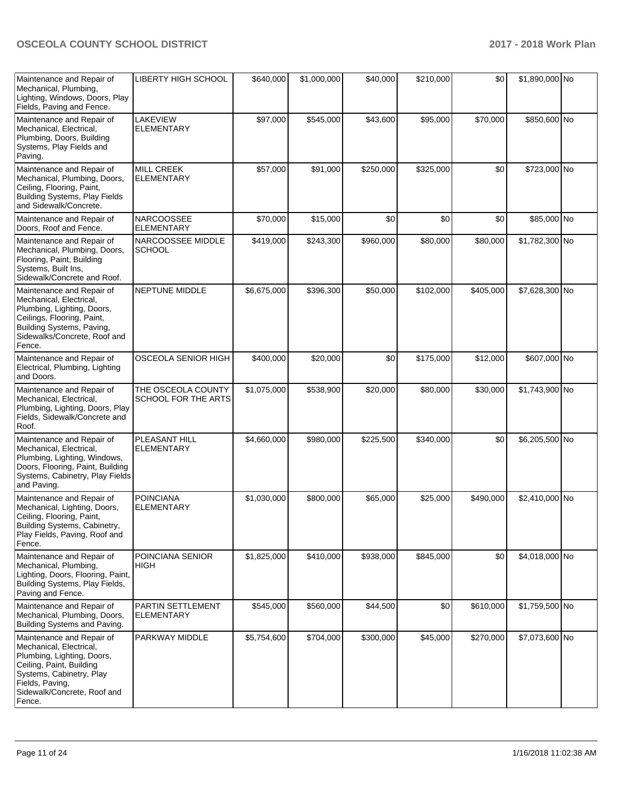| Maintenance and Repair of<br>Mechanical, Plumbing,<br>Lighting, Windows, Doors, Play<br>Fields, Paving and Fence.                                                                                      | LIBERTY HIGH SCHOOL                       | \$640,000   | \$1,000,000 | \$40,000  | \$210,000 | \$0       | \$1,890,000 No |  |
|--------------------------------------------------------------------------------------------------------------------------------------------------------------------------------------------------------|-------------------------------------------|-------------|-------------|-----------|-----------|-----------|----------------|--|
| Maintenance and Repair of<br>Mechanical, Electrical,<br>Plumbing, Doors, Building<br>Systems, Play Fields and<br>Paving.                                                                               | LAKEVIEW<br><b>ELEMENTARY</b>             | \$97,000    | \$545,000   | \$43,600  | \$95,000  | \$70,000  | \$850,600 No   |  |
| Maintenance and Repair of<br>Mechanical, Plumbing, Doors,<br>Ceiling, Flooring, Paint,<br><b>Building Systems, Play Fields</b><br>and Sidewalk/Concrete.                                               | <b>MILL CREEK</b><br><b>ELEMENTARY</b>    | \$57,000    | \$91,000    | \$250,000 | \$325,000 | \$0       | \$723,000 No   |  |
| Maintenance and Repair of<br>Doors, Roof and Fence.                                                                                                                                                    | <b>NARCOOSSEE</b><br><b>ELEMENTARY</b>    | \$70,000    | \$15,000    | \$0       | \$0       | \$0       | \$85,000 No    |  |
| Maintenance and Repair of<br>Mechanical, Plumbing, Doors,<br>Flooring, Paint, Building<br>Systems, Built Ins,<br>Sidewalk/Concrete and Roof.                                                           | NARCOOSSEE MIDDLE<br><b>SCHOOL</b>        | \$419,000   | \$243,300   | \$960,000 | \$80,000  | \$80,000  | \$1,782,300 No |  |
| Maintenance and Repair of<br>Mechanical, Electrical,<br>Plumbing, Lighting, Doors,<br>Ceilings, Flooring, Paint,<br>Building Systems, Paving,<br>Sidewalks/Concrete, Roof and<br>Fence.                | <b>NEPTUNE MIDDLE</b>                     | \$6,675,000 | \$396,300   | \$50,000  | \$102,000 | \$405,000 | \$7,628,300 No |  |
| Maintenance and Repair of<br>Electrical, Plumbing, Lighting<br>and Doors.                                                                                                                              | OSCEOLA SENIOR HIGH                       | \$400,000   | \$20,000    | \$0       | \$175,000 | \$12,000  | \$607,000 No   |  |
| Maintenance and Repair of<br>Mechanical, Electrical,<br>Plumbing, Lighting, Doors, Play<br>Fields, Sidewalk/Concrete and<br>Roof.                                                                      | THE OSCEOLA COUNTY<br>SCHOOL FOR THE ARTS | \$1,075,000 | \$538,900   | \$20,000  | \$80,000  | \$30,000  | \$1,743,900 No |  |
| Maintenance and Repair of<br>Mechanical, Electrical,<br>Plumbing, Lighting, Windows,<br>Doors, Flooring, Paint, Building<br>Systems, Cabinetry, Play Fields<br>and Paving.                             | PLEASANT HILL<br><b>ELEMENTARY</b>        | \$4,660,000 | \$980,000   | \$225,500 | \$340,000 | \$0       | \$6,205,500 No |  |
| Maintenance and Repair of<br>Mechanical, Lighting, Doors,<br>Ceiling, Flooring, Paint,<br>Building Systems, Cabinetry,<br>Play Fields, Paving, Roof and<br>Fence.                                      | <b>POINCIANA</b><br><b>ELEMENTARY</b>     | \$1,030,000 | \$800,000   | \$65,000  | \$25,000  | \$490,000 | \$2,410,000 No |  |
| Maintenance and Repair of<br>Mechanical, Plumbing,<br>Lighting, Doors, Flooring, Paint,<br>Building Systems, Play Fields,<br>Paving and Fence.                                                         | POINCIANA SENIOR<br><b>HIGH</b>           | \$1,825,000 | \$410,000   | \$938,000 | \$845,000 | \$0       | \$4,018,000 No |  |
| Maintenance and Repair of<br>Mechanical, Plumbing, Doors,<br>Building Systems and Paving.                                                                                                              | PARTIN SETTLEMENT<br><b>ELEMENTARY</b>    | \$545,000   | \$560,000   | \$44,500  | \$0       | \$610,000 | \$1,759,500 No |  |
| Maintenance and Repair of<br>Mechanical, Electrical,<br>Plumbing, Lighting, Doors,<br>Ceiling, Paint, Building<br>Systems, Cabinetry, Play<br>Fields, Paving,<br>Sidewalk/Concrete, Roof and<br>Fence. | PARKWAY MIDDLE                            | \$5,754,600 | \$704,000   | \$300,000 | \$45,000  | \$270,000 | \$7,073,600 No |  |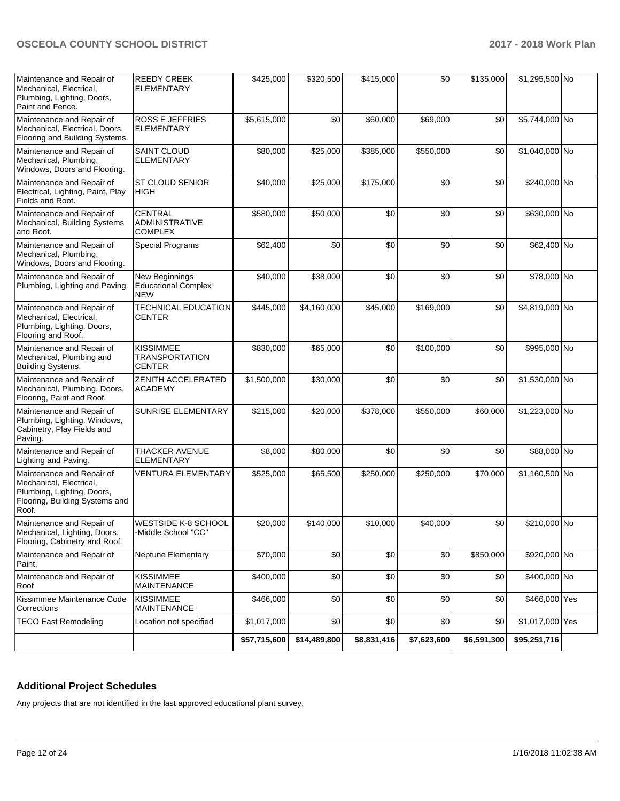| Maintenance and Repair of<br>Mechanical, Electrical,<br>Plumbing, Lighting, Doors,<br>Paint and Fence.                        | <b>REEDY CREEK</b><br><b>ELEMENTARY</b>                    | \$425,000    | \$320,500    | \$415,000   | \$0         | \$135,000   | \$1,295,500 No  |  |
|-------------------------------------------------------------------------------------------------------------------------------|------------------------------------------------------------|--------------|--------------|-------------|-------------|-------------|-----------------|--|
| Maintenance and Repair of<br>Mechanical, Electrical, Doors,<br>Flooring and Building Systems.                                 | <b>ROSS E JEFFRIES</b><br>ELEMENTARY                       | \$5,615,000  | \$0          | \$60,000    | \$69,000    | \$0         | \$5,744,000 No  |  |
| Maintenance and Repair of<br>Mechanical, Plumbing,<br>Windows, Doors and Flooring.                                            | <b>SAINT CLOUD</b><br><b>ELEMENTARY</b>                    | \$80,000     | \$25,000     | \$385,000   | \$550,000   | \$0         | \$1,040,000 No  |  |
| Maintenance and Repair of<br>Electrical, Lighting, Paint, Play<br>Fields and Roof.                                            | <b>ST CLOUD SENIOR</b><br><b>HIGH</b>                      | \$40,000     | \$25,000     | \$175,000   | \$0         | \$0         | \$240,000 No    |  |
| Maintenance and Repair of<br>Mechanical, Building Systems<br>and Roof.                                                        | CENTRAL<br><b>ADMINISTRATIVE</b><br><b>COMPLEX</b>         | \$580,000    | \$50,000     | \$0         | \$0         | \$0         | \$630,000 No    |  |
| Maintenance and Repair of<br>Mechanical, Plumbing,<br>Windows, Doors and Flooring.                                            | <b>Special Programs</b>                                    | \$62,400     | \$0          | \$0         | \$0         | \$0         | \$62,400 No     |  |
| Maintenance and Repair of<br>Plumbing, Lighting and Paving.                                                                   | New Beginnings<br><b>Educational Complex</b><br><b>NEW</b> | \$40,000     | \$38,000     | \$0         | \$0         | \$0         | \$78,000 No     |  |
| Maintenance and Repair of<br>Mechanical, Electrical,<br>Plumbing, Lighting, Doors,<br>Flooring and Roof.                      | <b>TECHNICAL EDUCATION</b><br><b>CENTER</b>                | \$445,000    | \$4,160,000  | \$45,000    | \$169,000   | \$0         | \$4,819,000 No  |  |
| Maintenance and Repair of<br>Mechanical, Plumbing and<br><b>Building Systems.</b>                                             | <b>KISSIMMEE</b><br><b>TRANSPORTATION</b><br><b>CENTER</b> | \$830,000    | \$65,000     | \$0         | \$100,000   | \$0         | \$995,000 No    |  |
| Maintenance and Repair of<br>Mechanical, Plumbing, Doors,<br>Flooring, Paint and Roof.                                        | ZENITH ACCELERATED<br><b>ACADEMY</b>                       | \$1,500,000  | \$30,000     | \$0         | \$0         | \$0         | \$1,530,000 No  |  |
| Maintenance and Repair of<br>Plumbing, Lighting, Windows,<br>Cabinetry, Play Fields and<br>Paving.                            | SUNRISE ELEMENTARY                                         | \$215,000    | \$20,000     | \$378,000   | \$550,000   | \$60,000    | \$1,223,000 No  |  |
| Maintenance and Repair of<br>Lighting and Paving.                                                                             | <b>THACKER AVENUE</b><br>ELEMENTARY                        | \$8,000      | \$80,000     | \$0         | \$0         | \$0         | \$88,000 No     |  |
| Maintenance and Repair of<br>Mechanical, Electrical,<br>Plumbing, Lighting, Doors,<br>Flooring, Building Systems and<br>Roof. | <b>VENTURA ELEMENTARY</b>                                  | \$525,000    | \$65,500     | \$250,000   | \$250,000   | \$70,000    | \$1,160,500 No  |  |
| Maintenance and Repair of<br>Mechanical, Lighting, Doors,<br>Flooring, Cabinetry and Roof.                                    | <b>WESTSIDE K-8 SCHOOL</b><br>-Middle School "CC"          | \$20,000     | \$140,000    | \$10,000    | \$40,000    | \$0         | \$210,000 No    |  |
| Maintenance and Repair of<br>Paint.                                                                                           | <b>Neptune Elementary</b>                                  | \$70,000     | \$0          | \$0         | \$0         | \$850,000   | \$920,000 No    |  |
| Maintenance and Repair of<br>Roof                                                                                             | <b>KISSIMMEE</b><br><b>MAINTENANCE</b>                     | \$400,000    | \$0          | \$0         | \$0         | \$0         | \$400,000 No    |  |
| Kissimmee Maintenance Code<br>Corrections                                                                                     | <b>KISSIMMEE</b><br><b>MAINTENANCE</b>                     | \$466,000    | \$0          | \$0         | \$0         | \$0         | \$466,000 Yes   |  |
| <b>TECO East Remodeling</b>                                                                                                   | Location not specified                                     | \$1,017,000  | \$0          | \$0         | \$0         | \$0         | \$1,017,000 Yes |  |
|                                                                                                                               |                                                            | \$57,715,600 | \$14,489,800 | \$8,831,416 | \$7,623,600 | \$6,591,300 | \$95,251,716    |  |

## **Additional Project Schedules**

Any projects that are not identified in the last approved educational plant survey.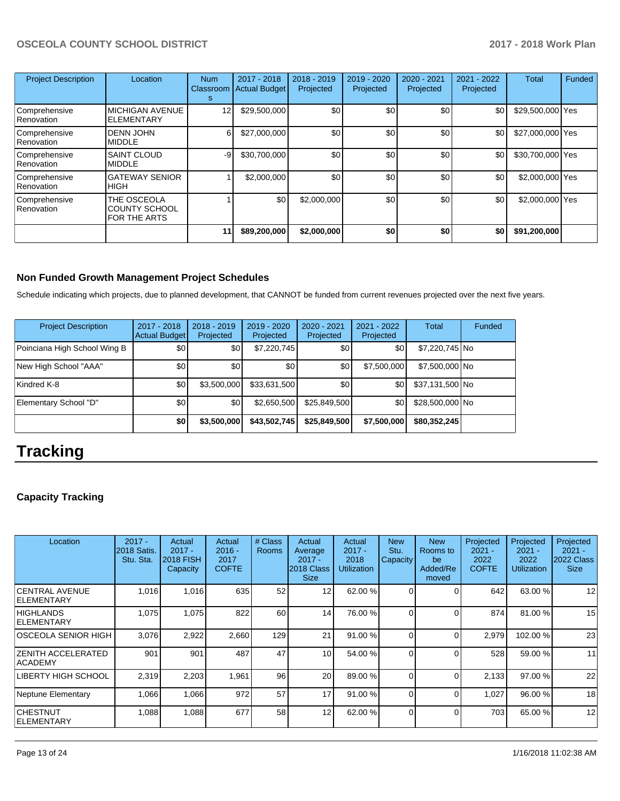| <b>Project Description</b>  | Location                                                   | <b>Num</b><br>Classroom<br>s | 2017 - 2018<br><b>Actual Budget</b> | 2018 - 2019<br>Projected | 2019 - 2020<br>Projected | 2020 - 2021<br>Projected | 2021 - 2022<br>Projected | Total            | Funded |
|-----------------------------|------------------------------------------------------------|------------------------------|-------------------------------------|--------------------------|--------------------------|--------------------------|--------------------------|------------------|--------|
| Comprehensive<br>Renovation | <b>MICHIGAN AVENUE</b><br><b>ELEMENTARY</b>                | $12 \overline{ }$            | \$29,500,000                        | \$0 <sub>1</sub>         | \$0                      | \$0                      | \$0                      | \$29,500,000 Yes |        |
| Comprehensive<br>Renovation | <b>DENN JOHN</b><br><b>MIDDLE</b>                          | 6                            | \$27,000,000                        | \$0                      | \$0                      | \$0                      | \$0                      | \$27,000,000 Yes |        |
| Comprehensive<br>Renovation | <b>SAINT CLOUD</b><br><b>MIDDLE</b>                        | -9                           | \$30,700,000                        | \$0                      | \$0                      | \$0                      | \$0                      | \$30,700,000 Yes |        |
| Comprehensive<br>Renovation | <b>GATEWAY SENIOR</b><br>IHIGH                             |                              | \$2,000,000                         | \$0                      | \$0                      | \$0                      | \$0                      | \$2,000,000 Yes  |        |
| Comprehensive<br>Renovation | THE OSCEOLA<br><b>COUNTY SCHOOL</b><br><b>FOR THE ARTS</b> |                              | \$0                                 | \$2,000,000              | \$0                      | \$0                      | \$0                      | \$2,000,000 Yes  |        |
|                             |                                                            | 11                           | \$89,200,000                        | \$2,000,000              | \$0                      | \$0                      | \$0                      | \$91,200,000     |        |

## **Non Funded Growth Management Project Schedules**

Schedule indicating which projects, due to planned development, that CANNOT be funded from current revenues projected over the next five years.

| <b>Project Description</b>   | 2017 - 2018<br><b>Actual Budget</b> | $2018 - 2019$<br>Projected | 2019 - 2020<br>Projected | $2020 - 2021$<br>Projected | $2021 - 2022$<br>Projected | <b>Total</b>    | Funded |
|------------------------------|-------------------------------------|----------------------------|--------------------------|----------------------------|----------------------------|-----------------|--------|
| Poinciana High School Wing B | \$0                                 | \$0                        | \$7,220,745              | \$0 <sub>1</sub>           | \$0                        | \$7,220,745 No  |        |
| New High School "AAA"        | \$0                                 | \$0                        | \$0                      | \$0                        | \$7,500,000                | \$7,500,000 No  |        |
| Kindred K-8                  | \$0                                 | \$3,500,000                | \$33,631,500             | \$0                        | \$0                        | \$37,131,500 No |        |
| Elementary School "D"        | \$0                                 | \$0                        | \$2,650,500              | \$25,849,500               | \$0                        | \$28,500,000 No |        |
|                              | \$0                                 | \$3,500,000                | \$43,502,745             | \$25,849,500               | \$7,500,000                | \$80,352,245    |        |

# **Tracking**

## **Capacity Tracking**

| Location                               | $2017 -$<br>2018 Satis.<br>Stu. Sta. | Actual<br>$2017 -$<br><b>2018 FISH</b><br>Capacity | Actual<br>$2016 -$<br>2017<br><b>COFTE</b> | # Class<br><b>Rooms</b> | Actual<br>Average<br>$2017 -$<br>2018 Class<br><b>Size</b> | Actual<br>$2017 -$<br>2018<br><b>Utilization</b> | <b>New</b><br>Stu.<br>Capacity | <b>New</b><br>Rooms to<br>be<br>Added/Re<br>moved | Projected<br>$2021 -$<br>2022<br><b>COFTE</b> | Projected<br>$2021 -$<br>2022<br><b>Utilization</b> | Projected<br>$2021 -$<br>2022 Class<br><b>Size</b> |
|----------------------------------------|--------------------------------------|----------------------------------------------------|--------------------------------------------|-------------------------|------------------------------------------------------------|--------------------------------------------------|--------------------------------|---------------------------------------------------|-----------------------------------------------|-----------------------------------------------------|----------------------------------------------------|
| ICENTRAL AVENUE<br><b>IELEMENTARY</b>  | 1,016                                | 1,016                                              | 635                                        | 52                      | $12 \overline{ }$                                          | 62.00 %                                          | $\Omega$                       | 0                                                 | 642                                           | 63.00 %                                             | 12                                                 |
| <b>HIGHLANDS</b><br><b>IELEMENTARY</b> | 1,075                                | 1,075                                              | 822                                        | 60                      | 14                                                         | 76.00 %                                          | $\Omega$                       | $\Omega$                                          | 874                                           | 81.00 %                                             | 15                                                 |
| IOSCEOLA SENIOR HIGH                   | 3.076                                | 2,922                                              | 2,660                                      | 129                     | 21                                                         | 91.00 %                                          | $\Omega$                       | 0                                                 | 2,979                                         | 102.00 %                                            | 23                                                 |
| <b>ZENITH ACCELERATED</b><br> ACADEMY  | 901                                  | 901                                                | 487                                        | 47                      | 10                                                         | 54.00 %                                          | $\Omega$                       | 0                                                 | 528                                           | 59.00 %                                             | 11                                                 |
| <b>LIBERTY HIGH SCHOOL</b>             | 2,319                                | 2,203                                              | 1,961                                      | 96                      | 20                                                         | 89.00 %                                          | $\Omega$                       | 0                                                 | 2,133                                         | 97.00 %                                             | 22                                                 |
| Neptune Elementary                     | 1,066                                | 1,066                                              | 972                                        | 57                      | 17                                                         | 91.00 %                                          | $\Omega$                       | 0                                                 | 1,027                                         | 96.00 %                                             | 18                                                 |
| ICHESTNUT<br><b>IELEMENTARY</b>        | 1,088                                | 1,088                                              | 677                                        | 58                      | 12                                                         | 62.00 %                                          | $\Omega$                       | 0                                                 | 703                                           | 65.00 %                                             | 12                                                 |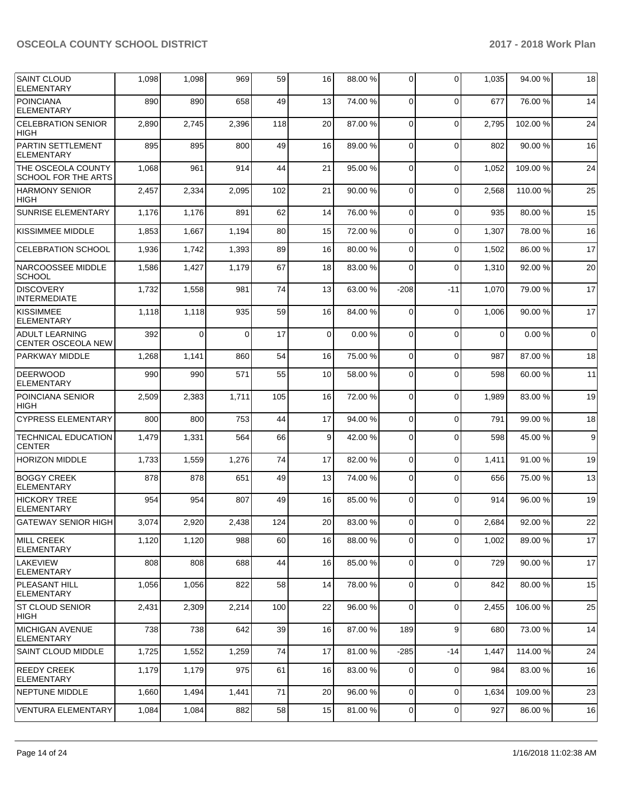| <b>SAINT CLOUD</b><br><b>ELEMENTARY</b>            | 1,098 | 1,098 | 969      | 59  | 16 | 88.00 % | 0              | $\Omega$    | 1,035 | 94.00 %  | 18               |
|----------------------------------------------------|-------|-------|----------|-----|----|---------|----------------|-------------|-------|----------|------------------|
| <b>POINCIANA</b><br><b>ELEMENTARY</b>              | 890   | 890   | 658      | 49  | 13 | 74.00 % | $\mathbf 0$    | $\Omega$    | 677   | 76.00 %  | 14               |
| <b>CELEBRATION SENIOR</b><br><b>HIGH</b>           | 2,890 | 2,745 | 2,396    | 118 | 20 | 87.00 % | $\mathbf 0$    | $\Omega$    | 2,795 | 102.00%  | 24               |
| PARTIN SETTLEMENT<br><b>ELEMENTARY</b>             | 895   | 895   | 800      | 49  | 16 | 89.00 % | 0              | $\Omega$    | 802   | 90.00 %  | 16               |
| THE OSCEOLA COUNTY<br><b>SCHOOL FOR THE ARTS</b>   | 1,068 | 961   | 914      | 44  | 21 | 95.00 % | $\mathbf 0$    | $\Omega$    | 1,052 | 109.00%  | 24               |
| <b>HARMONY SENIOR</b><br><b>HIGH</b>               | 2,457 | 2,334 | 2,095    | 102 | 21 | 90.00 % | $\mathbf 0$    | $\Omega$    | 2,568 | 110.00%  | 25               |
| <b>SUNRISE ELEMENTARY</b>                          | 1,176 | 1,176 | 891      | 62  | 14 | 76.00%  | 0              | 0           | 935   | 80.00 %  | 15               |
| KISSIMMEE MIDDLE                                   | 1,853 | 1,667 | 1,194    | 80  | 15 | 72.00 % | 0              | $\Omega$    | 1,307 | 78.00 %  | 16               |
| <b>CELEBRATION SCHOOL</b>                          | 1,936 | 1,742 | 1,393    | 89  | 16 | 80.00 % | 0              | $\Omega$    | 1,502 | 86.00 %  | 17               |
| NARCOOSSEE MIDDLE<br><b>SCHOOL</b>                 | 1,586 | 1,427 | 1,179    | 67  | 18 | 83.00 % | 0              | $\Omega$    | 1,310 | 92.00 %  | 20               |
| <b>DISCOVERY</b><br><b>INTERMEDIATE</b>            | 1,732 | 1,558 | 981      | 74  | 13 | 63.00 % | $-208$         | $-11$       | 1,070 | 79.00 %  | 17               |
| <b>KISSIMMEE</b><br><b>ELEMENTARY</b>              | 1,118 | 1,118 | 935      | 59  | 16 | 84.00%  | $\mathbf 0$    | $\Omega$    | 1,006 | 90.00 %  | 17               |
| <b>ADULT LEARNING</b><br><b>CENTER OSCEOLA NEW</b> | 392   | 0     | $\Omega$ | 17  | 0  | 0.00%   | 0              | $\Omega$    | 0     | 0.00%    | 0                |
| PARKWAY MIDDLE                                     | 1,268 | 1,141 | 860      | 54  | 16 | 75.00 % | $\mathbf 0$    | $\mathbf 0$ | 987   | 87.00 %  | 18               |
| <b>DEERWOOD</b><br><b>ELEMENTARY</b>               | 990   | 990   | 571      | 55  | 10 | 58.00 % | 0              | $\Omega$    | 598   | 60.00 %  | 11               |
| POINCIANA SENIOR<br><b>HIGH</b>                    | 2,509 | 2,383 | 1,711    | 105 | 16 | 72.00 % | $\mathbf 0$    | $\Omega$    | 1,989 | 83.00 %  | 19               |
| <b>CYPRESS ELEMENTARY</b>                          | 800   | 800   | 753      | 44  | 17 | 94.00 % | 0              | 0           | 791   | 99.00 %  | 18               |
| <b>TECHNICAL EDUCATION</b><br><b>CENTER</b>        | 1,479 | 1,331 | 564      | 66  | 9  | 42.00 % | 0              | $\Omega$    | 598   | 45.00 %  | $\boldsymbol{9}$ |
| <b>HORIZON MIDDLE</b>                              | 1,733 | 1,559 | 1,276    | 74  | 17 | 82.00 % | $\mathbf 0$    | $\mathbf 0$ | 1,411 | 91.00%   | 19               |
| <b>BOGGY CREEK</b><br><b>ELEMENTARY</b>            | 878   | 878   | 651      | 49  | 13 | 74.00 % | $\mathbf 0$    | $\Omega$    | 656   | 75.00 %  | 13               |
| <b>HICKORY TREE</b><br><b>ELEMENTARY</b>           | 954   | 954   | 807      | 49  | 16 | 85.00 % | $\mathbf 0$    | $\Omega$    | 914   | 96.00 %  | 19               |
| <b>GATEWAY SENIOR HIGH</b>                         | 3.074 | 2,920 | 2,438    | 124 | 20 | 83.00 % | $\Omega$       | $\Omega$    | 2.684 | 92.00%   | 22               |
| <b>MILL CREEK</b><br><b>ELEMENTARY</b>             | 1,120 | 1,120 | 988      | 60  | 16 | 88.00 % | 0              | $\mathbf 0$ | 1,002 | 89.00 %  | 17               |
| ILAKEVIEW<br><b>ELEMENTARY</b>                     | 808   | 808   | 688      | 44  | 16 | 85.00 % | 0              | $\Omega$    | 729   | 90.00 %  | 17               |
| <b>PLEASANT HILL</b><br><b>ELEMENTARY</b>          | 1,056 | 1,056 | 822      | 58  | 14 | 78.00 % | $\mathbf 0$    | $\Omega$    | 842   | 80.00%   | 15               |
| <b>ST CLOUD SENIOR</b><br><b>HIGH</b>              | 2,431 | 2,309 | 2,214    | 100 | 22 | 96.00 % | 0              | 0           | 2,455 | 106.00 % | 25               |
| <b>MICHIGAN AVENUE</b><br><b>ELEMENTARY</b>        | 738   | 738   | 642      | 39  | 16 | 87.00 % | 189            | 9           | 680   | 73.00 %  | 14               |
| <b>SAINT CLOUD MIDDLE</b>                          | 1,725 | 1,552 | 1,259    | 74  | 17 | 81.00 % | $-285$         | $-14$       | 1,447 | 114.00 % | 24               |
| <b>REEDY CREEK</b><br><b>ELEMENTARY</b>            | 1,179 | 1,179 | 975      | 61  | 16 | 83.00 % | 0              | $\Omega$    | 984   | 83.00 %  | 16               |
| <b>NEPTUNE MIDDLE</b>                              | 1,660 | 1,494 | 1,441    | 71  | 20 | 96.00 % | 0              | 0           | 1,634 | 109.00 % | 23               |
| <b>VENTURA ELEMENTARY</b>                          | 1,084 | 1,084 | 882      | 58  | 15 | 81.00 % | $\overline{0}$ | 0           | 927   | 86.00 %  | 16               |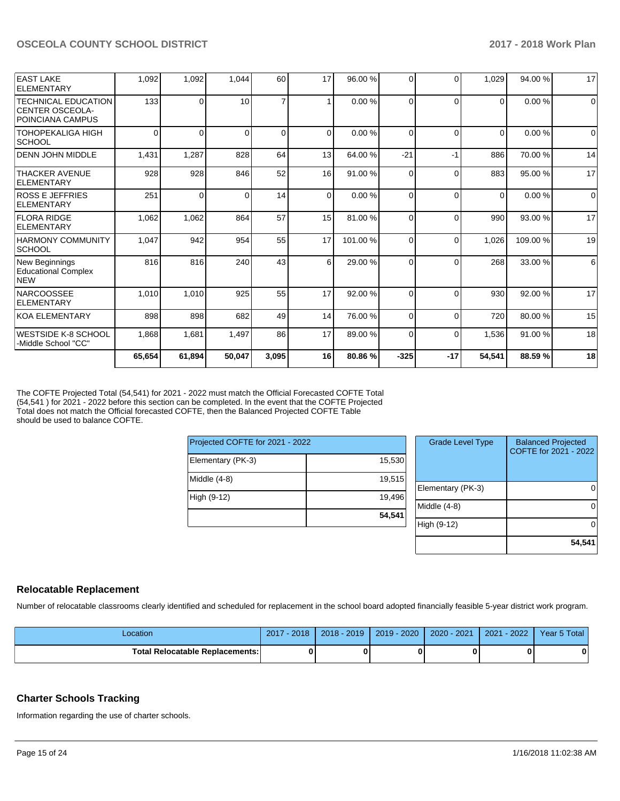|                                                                          | 65,654   | 61,894 | 50,047   | 3,095          | 16       | 80.86%  | $-325$   | $-17$    | 54,541   | 88.59%  | 18          |
|--------------------------------------------------------------------------|----------|--------|----------|----------------|----------|---------|----------|----------|----------|---------|-------------|
| WESTSIDE K-8 SCHOOL<br>-Middle School "CC"                               | 1,868    | 1,681  | 1,497    | 86             | 17       | 89.00 % | $\Omega$ | $\Omega$ | 1,536    | 91.00 % | 18          |
| <b>IKOA ELEMENTARY</b>                                                   | 898      | 898    | 682      | 49             | 14       | 76.00 % | 0        | $\Omega$ | 720      | 80.00 % | 15          |
| <b>NARCOOSSEE</b><br>ELEMENTARY                                          | 1,010    | 1,010  | 925      | 55             | 17       | 92.00 % | $\Omega$ | $\Omega$ | 930      | 92.00 % | 17          |
| New Beginnings<br><b>Educational Complex</b><br><b>NEW</b>               | 816      | 816    | 240      | 43             | 6        | 29.00 % | 0        | $\Omega$ | 268      | 33.00 % | 6           |
| <b>HARMONY COMMUNITY</b><br> SCHOOL                                      | 1,047    | 942    | 954      | 55             | 17       | 101.00% | 0        | $\Omega$ | 1,026    | 109.00% | 19          |
| <b>FLORA RIDGE</b><br>ELEMENTARY                                         | 1,062    | 1,062  | 864      | 57             | 15       | 81.00 % | $\Omega$ | $\Omega$ | 990      | 93.00 % | 17          |
| <b>ROSS E JEFFRIES</b><br>ELEMENTARY                                     | 251      | 0      | $\Omega$ | 14             | $\Omega$ | 0.00%   | $\Omega$ | $\Omega$ | $\Omega$ | 0.00%   | $\Omega$    |
| <b>THACKER AVENUE</b><br>ELEMENTARY                                      | 928      | 928    | 846      | 52             | 16       | 91.00 % | 0        | $\Omega$ | 883      | 95.00 % | 17          |
| <b>DENN JOHN MIDDLE</b>                                                  | 1,431    | 1,287  | 828      | 64             | 13       | 64.00%  | $-21$    | $-1$     | 886      | 70.00 % | 14          |
| <b>TOHOPEKALIGA HIGH</b><br><b>SCHOOL</b>                                | $\Omega$ | 0      | $\Omega$ | $\Omega$       | $\Omega$ | 0.00%   | 0        | $\Omega$ | $\Omega$ | 0.00%   | $\Omega$    |
| <b>TECHNICAL EDUCATION</b><br><b>CENTER OSCEOLA-</b><br>POINCIANA CAMPUS | 133      | 0      | 10       | $\overline{7}$ |          | 0.00%   | $\Omega$ | $\Omega$ | $\Omega$ | 0.00%   | $\mathbf 0$ |
| <b>EAST LAKE</b><br>ELEMENTARY                                           | 1.092    | 1,092  | 1,044    | 60             | 17       | 96.00 % | 0        | $\Omega$ | 1,029    | 94.00 % | 17          |

The COFTE Projected Total (54,541) for 2021 - 2022 must match the Official Forecasted COFTE Total (54,541 ) for 2021 - 2022 before this section can be completed. In the event that the COFTE Projected Total does not match the Official forecasted COFTE, then the Balanced Projected COFTE Table should be used to balance COFTE.

| Projected COFTE for 2021 - 2022 |        |
|---------------------------------|--------|
| Elementary (PK-3)               | 15,530 |
| Middle (4-8)                    | 19,515 |
| High (9-12)                     | 19,496 |
|                                 | 54,541 |

| <b>Grade Level Type</b> | <b>Balanced Projected</b><br>COFTE for 2021 - 2022 |
|-------------------------|----------------------------------------------------|
| Elementary (PK-3)       |                                                    |
| Middle (4-8)            |                                                    |
| High (9-12)             |                                                    |
|                         | 54,541                                             |

#### **Relocatable Replacement**

Number of relocatable classrooms clearly identified and scheduled for replacement in the school board adopted financially feasible 5-year district work program.

| _ocation                          | 2018<br>2017 | $2018 - 2019$ | $-2020$<br>$2019 -$ | 2020 - 2021 | $-2022$<br>2021 | Year 5 Total |
|-----------------------------------|--------------|---------------|---------------------|-------------|-----------------|--------------|
| Total Relocatable Replacements: I |              |               |                     | 0           |                 | 0            |

#### **Charter Schools Tracking**

Information regarding the use of charter schools.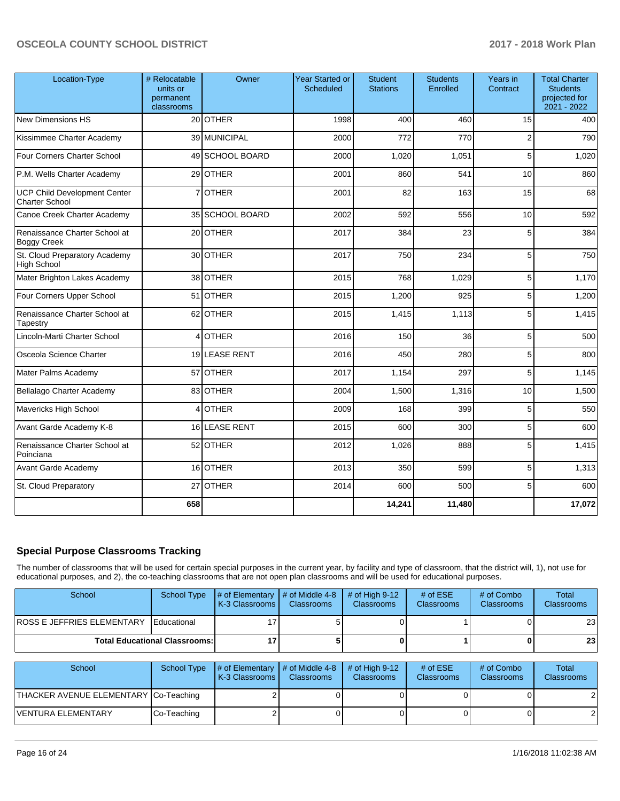| Location-Type                                                | # Relocatable<br>units or<br>permanent<br>classrooms | Owner           | <b>Year Started or</b><br>Scheduled | <b>Student</b><br><b>Stations</b> | <b>Students</b><br>Enrolled | Years in<br>Contract | <b>Total Charter</b><br><b>Students</b><br>projected for<br>2021 - 2022 |
|--------------------------------------------------------------|------------------------------------------------------|-----------------|-------------------------------------|-----------------------------------|-----------------------------|----------------------|-------------------------------------------------------------------------|
| <b>New Dimensions HS</b>                                     |                                                      | 20 OTHER        | 1998                                | 400                               | 460                         | 15                   | 400                                                                     |
| Kissimmee Charter Academy                                    |                                                      | 39 MUNICIPAL    | 2000                                | 772                               | 770                         | $\overline{c}$       | 790                                                                     |
| Four Corners Charter School                                  |                                                      | 49 SCHOOL BOARD | 2000                                | 1,020                             | 1,051                       | 5                    | 1,020                                                                   |
| P.M. Wells Charter Academy                                   |                                                      | 29 OTHER        | 2001                                | 860                               | 541                         | 10                   | 860                                                                     |
| <b>UCP Child Development Center</b><br><b>Charter School</b> | 7                                                    | <b>OTHER</b>    | 2001                                | 82                                | 163                         | 15                   | 68                                                                      |
| Canoe Creek Charter Academy                                  |                                                      | 35 SCHOOL BOARD | 2002                                | 592                               | 556                         | 10                   | 592                                                                     |
| Renaissance Charter School at<br><b>Boggy Creek</b>          |                                                      | 20 OTHER        | 2017                                | 384                               | 23                          | 5                    | 384                                                                     |
| St. Cloud Preparatory Academy<br><b>High School</b>          |                                                      | 30 OTHER        | 2017                                | 750                               | 234                         | 5                    | 750                                                                     |
| Mater Brighton Lakes Academy                                 |                                                      | 38 OTHER        | 2015                                | 768                               | 1,029                       | 5 <sup>5</sup>       | 1,170                                                                   |
| Four Corners Upper School                                    |                                                      | 51 OTHER        | 2015                                | 1,200                             | 925                         | 5                    | 1,200                                                                   |
| Renaissance Charter School at<br>Tapestry                    |                                                      | 62 OTHER        | 2015                                | 1,415                             | 1,113                       | 5                    | 1,415                                                                   |
| Lincoln-Marti Charter School                                 |                                                      | 4 OTHER         | 2016                                | 150                               | 36                          | 5                    | 500                                                                     |
| Osceola Science Charter                                      |                                                      | 19 LEASE RENT   | 2016                                | 450                               | 280                         | 5                    | 800                                                                     |
| Mater Palms Academy                                          |                                                      | 57 OTHER        | 2017                                | 1,154                             | 297                         | 5                    | 1,145                                                                   |
| Bellalago Charter Academy                                    |                                                      | 83 OTHER        | 2004                                | 1,500                             | 1,316                       | 10                   | 1,500                                                                   |
| Mavericks High School                                        |                                                      | 4 OTHER         | 2009                                | 168                               | 399                         | 5                    | 550                                                                     |
| Avant Garde Academy K-8                                      |                                                      | 16 LEASE RENT   | 2015                                | 600                               | 300                         | 5                    | 600                                                                     |
| Renaissance Charter School at<br>Poinciana                   |                                                      | 52 OTHER        | 2012                                | 1,026                             | 888                         | 5                    | 1,415                                                                   |
| Avant Garde Academy                                          |                                                      | 16 OTHER        | 2013                                | 350                               | 599                         | 5                    | 1,313                                                                   |
| St. Cloud Preparatory                                        |                                                      | 27 OTHER        | 2014                                | 600                               | 500                         | 5                    | 600                                                                     |
|                                                              | 658                                                  |                 |                                     | 14,241                            | 11,480                      |                      | 17,072                                                                  |

## **Special Purpose Classrooms Tracking**

The number of classrooms that will be used for certain special purposes in the current year, by facility and type of classroom, that the district will, 1), not use for educational purposes, and 2), the co-teaching classrooms that are not open plan classrooms and will be used for educational purposes.

| School                                 | School Type                          | $\parallel$ # of Elementary $\parallel$ # of Middle 4-8<br><b>K-3 Classrooms L</b> | <b>Classrooms</b> | $\#$ of High 9-12<br><b>Classrooms</b> | # of $ESE$<br><b>Classrooms</b> | # of Combo<br><b>Classrooms</b> | Total<br><b>Classrooms</b> |
|----------------------------------------|--------------------------------------|------------------------------------------------------------------------------------|-------------------|----------------------------------------|---------------------------------|---------------------------------|----------------------------|
| ROSS E JEFFRIES ELEMENTARY Educational |                                      |                                                                                    |                   |                                        |                                 |                                 | 23 <sub>1</sub>            |
|                                        | <b>Total Educational Classrooms:</b> |                                                                                    |                   |                                        |                                 | 0 I                             | 23 <sub>1</sub>            |

| School                                 | School Type | $\parallel$ # of Elementary # of Middle 4-8<br><b>K-3 Classrooms L</b> | <b>Classrooms</b> | $#$ of High 9-12<br><b>Classrooms</b> | # of $ESE$<br><b>Classrooms</b> | # of Combo<br><b>Classrooms</b> | Total<br><b>Classrooms</b> |
|----------------------------------------|-------------|------------------------------------------------------------------------|-------------------|---------------------------------------|---------------------------------|---------------------------------|----------------------------|
| THACKER AVENUE ELEMENTARY COo-Teaching |             |                                                                        |                   |                                       |                                 |                                 |                            |
| lVENTURA ELEMENTARY                    | Co-Teaching |                                                                        |                   |                                       |                                 |                                 |                            |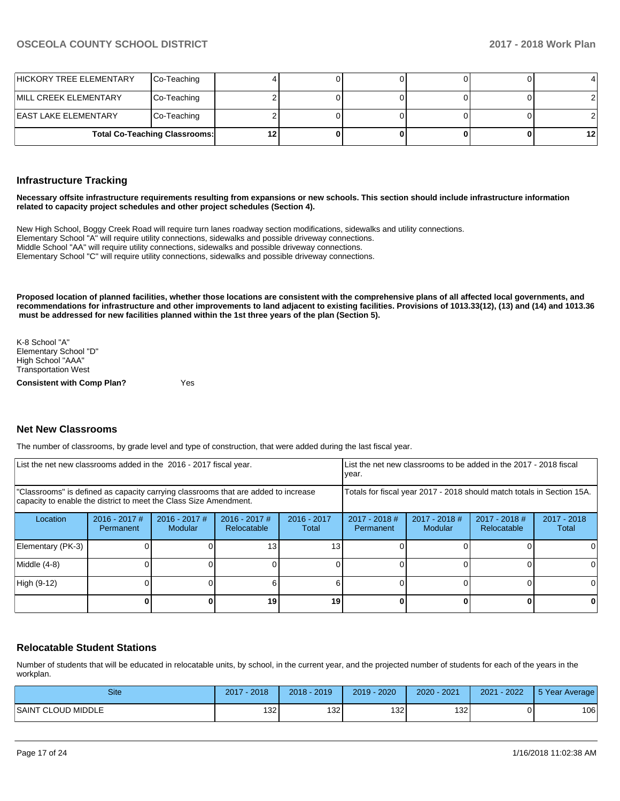| HICKORY TREE ELEMENTARY       | Co-Teaching                          |  |  | 4       |
|-------------------------------|--------------------------------------|--|--|---------|
| <b>IMILL CREEK ELEMENTARY</b> | Co-Teaching                          |  |  |         |
| <b>IEAST LAKE ELEMENTARY</b>  | Co-Teaching                          |  |  |         |
|                               | <b>Total Co-Teaching Classrooms:</b> |  |  | $12 \,$ |

#### **Infrastructure Tracking**

**Necessary offsite infrastructure requirements resulting from expansions or new schools. This section should include infrastructure information related to capacity project schedules and other project schedules (Section 4).** 

New High School, Boggy Creek Road will require turn lanes roadway section modifications, sidewalks and utility connections. Elementary School "A" will require utility connections, sidewalks and possible driveway connections. Middle School "AA" will require utility connections, sidewalks and possible driveway connections. Elementary School "C" will require utility connections, sidewalks and possible driveway connections.

**Proposed location of planned facilities, whether those locations are consistent with the comprehensive plans of all affected local governments, and recommendations for infrastructure and other improvements to land adjacent to existing facilities. Provisions of 1013.33(12), (13) and (14) and 1013.36 must be addressed for new facilities planned within the 1st three years of the plan (Section 5).** 

K-8 School "A" Elementary School "D" High School "AAA" Transportation West

**Consistent with Comp Plan?** Yes

#### **Net New Classrooms**

The number of classrooms, by grade level and type of construction, that were added during the last fiscal year.

| List the net new classrooms added in the 2016 - 2017 fiscal year.                                                                                       |                                                                        |                            | List the net new classrooms to be added in the 2017 - 2018 fiscal<br>year. |                        |                              |                        |  |    |
|---------------------------------------------------------------------------------------------------------------------------------------------------------|------------------------------------------------------------------------|----------------------------|----------------------------------------------------------------------------|------------------------|------------------------------|------------------------|--|----|
| "Classrooms" is defined as capacity carrying classrooms that are added to increase<br>capacity to enable the district to meet the Class Size Amendment. | Totals for fiscal year 2017 - 2018 should match totals in Section 15A. |                            |                                                                            |                        |                              |                        |  |    |
| Location                                                                                                                                                | $2016 - 2017$ #<br>Permanent                                           | $2016 - 2017$ #<br>Modular | $2016 - 2017$ #<br>Relocatable                                             | $2016 - 2017$<br>Total | $2017 - 2018$ #<br>Permanent | $2017 - 2018$<br>Total |  |    |
| Elementary (PK-3)                                                                                                                                       |                                                                        |                            | 13                                                                         | 13                     |                              |                        |  |    |
| Middle (4-8)                                                                                                                                            |                                                                        |                            |                                                                            |                        |                              |                        |  | ΩI |
| High (9-12)                                                                                                                                             |                                                                        |                            |                                                                            |                        |                              |                        |  |    |
|                                                                                                                                                         |                                                                        |                            | 19                                                                         | 19                     |                              |                        |  | 0  |

#### **Relocatable Student Stations**

Number of students that will be educated in relocatable units, by school, in the current year, and the projected number of students for each of the years in the workplan.

| Site                         | 2018<br>2017 | 2019<br>$2018 -$ | 2020<br>2019 | $2020 - 2021$ | $-2022$<br>2021 | 5 Year Average |
|------------------------------|--------------|------------------|--------------|---------------|-----------------|----------------|
| <b>SAINT</b><br>CLOUD MIDDLE | 1321         | 132              | 132          | 1321          |                 | 106            |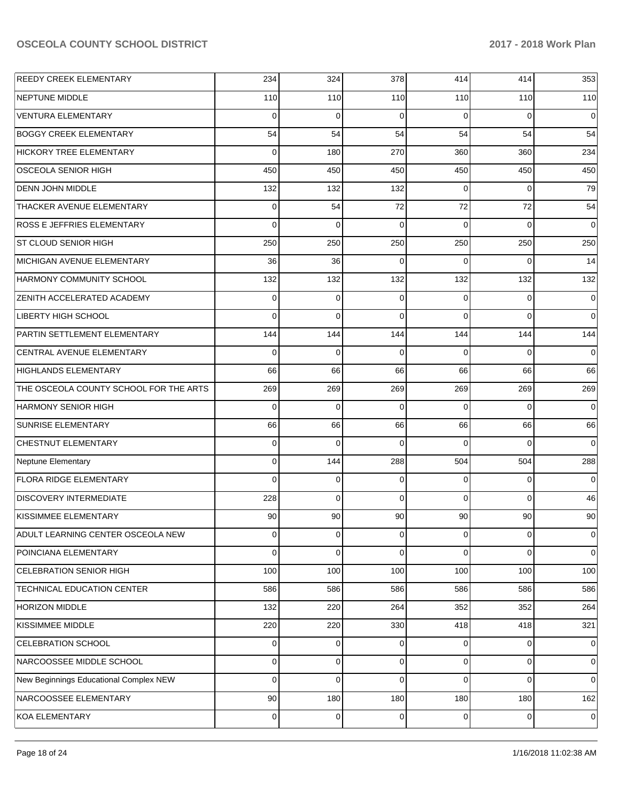| <b>REEDY CREEK ELEMENTARY</b>          | 234            | 324         | 378            | 414            | 414         | 353         |
|----------------------------------------|----------------|-------------|----------------|----------------|-------------|-------------|
| NEPTUNE MIDDLE                         | 110            | 110         | 110            | 110            | 110         | 110         |
| VENTURA ELEMENTARY                     | $\Omega$       | $\Omega$    | $\Omega$       | $\Omega$       | $\Omega$    | $\Omega$    |
| <b>BOGGY CREEK ELEMENTARY</b>          | 54             | 54          | 54             | 54             | 54          | 54          |
| <b>HICKORY TREE ELEMENTARY</b>         | $\Omega$       | 180         | 270            | 360            | 360         | 234         |
| <b>OSCEOLA SENIOR HIGH</b>             | 450            | 450         | 450            | 450            | 450         | 450         |
| <b>DENN JOHN MIDDLE</b>                | 132            | 132         | 132            | $\Omega$       | $\Omega$    | 79          |
| THACKER AVENUE ELEMENTARY              | $\mathbf 0$    | 54          | 72             | 72             | 72          | 54          |
| <b>ROSS E JEFFRIES ELEMENTARY</b>      | $\Omega$       | $\Omega$    | $\Omega$       | $\Omega$       | $\Omega$    | $\Omega$    |
| <b>ST CLOUD SENIOR HIGH</b>            | 250            | 250         | 250            | 250            | 250         | 250         |
| MICHIGAN AVENUE ELEMENTARY             | 36             | 36          | $\Omega$       | $\Omega$       | $\Omega$    | 14          |
| <b>HARMONY COMMUNITY SCHOOL</b>        | 132            | 132         | 132            | 132            | 132         | 132         |
| <b>ZENITH ACCELERATED ACADEMY</b>      | 0              | $\Omega$    | 0              | $\Omega$       | $\Omega$    | $\mathbf 0$ |
| LIBERTY HIGH SCHOOL                    | $\Omega$       | $\Omega$    | $\Omega$       | $\Omega$       | $\Omega$    | $\mathbf 0$ |
| PARTIN SETTLEMENT ELEMENTARY           | 144            | 144         | 144            | 144            | 144         | 144         |
| CENTRAL AVENUE ELEMENTARY              | $\Omega$       | $\mathbf 0$ | 0              | $\Omega$       | $\Omega$    | $\mathbf 0$ |
| <b>HIGHLANDS ELEMENTARY</b>            | 66             | 66          | 66             | 66             | 66          | 66          |
| THE OSCEOLA COUNTY SCHOOL FOR THE ARTS | 269            | 269         | 269            | 269            | 269         | 269         |
| <b>HARMONY SENIOR HIGH</b>             | $\Omega$       | $\Omega$    | $\Omega$       | $\Omega$       | $\Omega$    | $\Omega$    |
| <b>SUNRISE ELEMENTARY</b>              | 66             | 66          | 66             | 66             | 66          | 66          |
| <b>CHESTNUT ELEMENTARY</b>             | $\Omega$       | $\Omega$    | $\Omega$       | 0              | $\Omega$    | $\Omega$    |
| Neptune Elementary                     | $\mathbf 0$    | 144         | 288            | 504            | 504         | 288         |
| <b>FLORA RIDGE ELEMENTARY</b>          | $\Omega$       | $\mathbf 0$ | 0              | $\Omega$       | $\Omega$    | $\Omega$    |
| <b>DISCOVERY INTERMEDIATE</b>          | 228            | $\Omega$    | $\Omega$       | $\Omega$       | $\Omega$    | 46          |
| KISSIMMEE ELEMENTARY                   | 90             | 90          | 90             | 90             | 90          | 90          |
| ADULT LEARNING CENTER OSCEOLA NEW      | $\overline{0}$ | 0           | $\overline{0}$ | $\overline{0}$ | 0           | 0           |
| POINCIANA ELEMENTARY                   | $\Omega$       | 0           | 0              | 0              | $\Omega$    | $\mathbf 0$ |
| CELEBRATION SENIOR HIGH                | 100            | 100         | 100            | 100            | 100         | 100         |
| TECHNICAL EDUCATION CENTER             | 586            | 586         | 586            | 586            | 586         | 586         |
| <b>HORIZON MIDDLE</b>                  | 132            | 220         | 264            | 352            | 352         | 264         |
| <b>KISSIMMEE MIDDLE</b>                | 220            | 220         | 330            | 418            | 418         | 321         |
| CELEBRATION SCHOOL                     | $\overline{0}$ | 0           | 0              | $\overline{0}$ | $\mathbf 0$ | $\mathbf 0$ |
| NARCOOSSEE MIDDLE SCHOOL               | $\overline{0}$ | 0           | 0              | $\overline{0}$ | $\mathbf 0$ | $\mathbf 0$ |
| New Beginnings Educational Complex NEW | $\Omega$       | 0           | 0              | $\Omega$       | $\Omega$    | $\mathbf 0$ |
| NARCOOSSEE ELEMENTARY                  | 90             | 180         | 180            | 180            | 180         | 162         |
| KOA ELEMENTARY                         | $\mathbf 0$    | $\mathbf 0$ | 0              | $\overline{0}$ | $\pmb{0}$   | $\mathbf 0$ |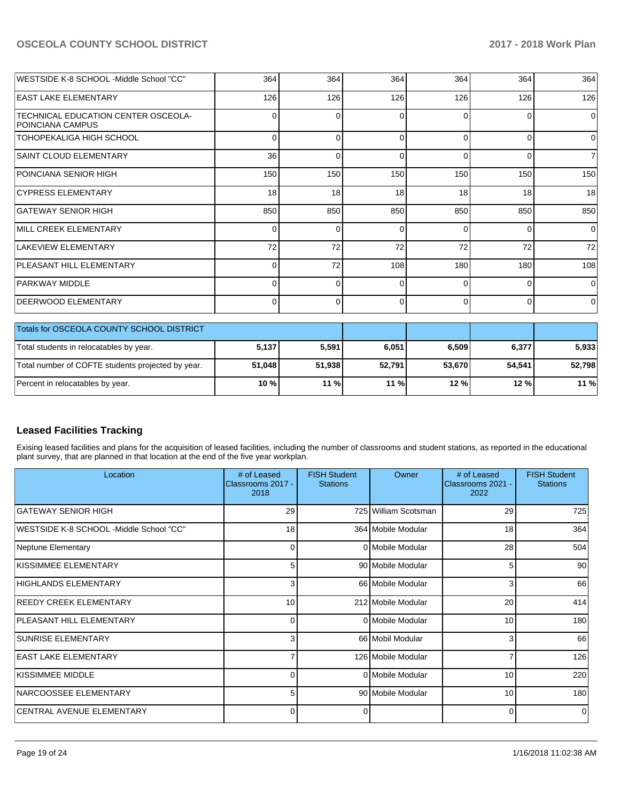| WESTSIDE K-8 SCHOOL -Middle School "CC"                        | 364      | 364      | 364      | 364      | 364      | 364            |
|----------------------------------------------------------------|----------|----------|----------|----------|----------|----------------|
| <b>EAST LAKE ELEMENTARY</b>                                    | 126      | 126      | 126      | 126      | 126      | 126            |
| TECHNICAL EDUCATION CENTER OSCEOLA-<br><b>POINCIANA CAMPUS</b> | 0        | $\Omega$ | $\Omega$ | $\Omega$ | $\Omega$ | $\Omega$       |
| TOHOPEKALIGA HIGH SCHOOL                                       | 0        | $\Omega$ | $\Omega$ | $\Omega$ | $\Omega$ | $\Omega$       |
| <b>SAINT CLOUD ELEMENTARY</b>                                  | 36       | $\Omega$ | $\Omega$ | $\Omega$ | $\Omega$ | $\overline{7}$ |
| POINCIANA SENIOR HIGH                                          | 150      | 150      | 150      | 150      | 150      | 150            |
| <b>CYPRESS ELEMENTARY</b>                                      | 18       | 18       | 18       | 18       | 18       | 18             |
| <b>GATEWAY SENIOR HIGH</b>                                     | 850      | 850      | 850      | 850      | 850      | 850            |
| MILL CREEK ELEMENTARY                                          | $\Omega$ | $\Omega$ | $\Omega$ | $\Omega$ | $\Omega$ | $\Omega$       |
| <b>LAKEVIEW ELEMENTARY</b>                                     | 72       | 72       | 72       | 72       | 72       | 72             |
| <b>PLEASANT HILL ELEMENTARY</b>                                | 0        | 72       | 108      | 180      | 180      | 108            |
| PARKWAY MIDDLE                                                 | $\Omega$ | $\Omega$ | $\Omega$ | $\Omega$ | $\Omega$ | $\Omega$       |
| DEERWOOD ELEMENTARY                                            | $\Omega$ | $\Omega$ | $\Omega$ | $\Omega$ | $\Omega$ | 0l             |
| Totals for OSCEOLA COUNTY SCHOOL DISTRICT                      |          |          |          |          |          |                |
| Total students in relocatables by year.                        | 5,137    | 5,591    | 6,051    | 6,509    | 6,377    | 5,933          |
| Total number of COFTE students projected by year.              | 51,048   | 51,938   | 52.791   | 53,670   | 54,541   | 52,798         |

## **Leased Facilities Tracking**

Exising leased facilities and plans for the acquisition of leased facilities, including the number of classrooms and student stations, as reported in the educational plant survey, that are planned in that location at the end of the five year workplan.

Percent in relocatables by year. **10 % 11 % 11 % 12 % 12 % 11 %**

| Location                                | # of Leased<br>Classrooms 2017 -<br>2018 | <b>FISH Student</b><br><b>Stations</b> | Owner                | # of Leased<br>Classrooms 2021 -<br>2022 | <b>FISH Student</b><br><b>Stations</b> |
|-----------------------------------------|------------------------------------------|----------------------------------------|----------------------|------------------------------------------|----------------------------------------|
| IGATEWAY SENIOR HIGH                    | 29                                       |                                        | 725 William Scotsman | 29                                       | 725                                    |
| WESTSIDE K-8 SCHOOL -Middle School "CC" | 18                                       |                                        | 364 Mobile Modular   | 18                                       | 364                                    |
| Neptune Elementary                      | 0                                        |                                        | 0 Mobile Modular     | 28                                       | 504                                    |
| KISSIMMEE ELEMENTARY                    | 5                                        |                                        | 90 Mobile Modular    | 5                                        | 90                                     |
| HIGHLANDS ELEMENTARY                    | 3                                        |                                        | 66 Mobile Modular    | 3                                        | 66                                     |
| <b>REEDY CREEK ELEMENTARY</b>           | 10                                       |                                        | 212 Mobile Modular   | 20                                       | 414                                    |
| <b>PLEASANT HILL ELEMENTARY</b>         | 0                                        |                                        | 0 Mobile Modular     | 10                                       | 180                                    |
| <b>ISUNRISE ELEMENTARY</b>              | 3                                        |                                        | 66 Mobil Modular     | 3                                        | 66                                     |
| <b>EAST LAKE ELEMENTARY</b>             | ⇁                                        |                                        | 126 Mobile Modular   |                                          | 126                                    |
| KISSIMMEE MIDDLE                        | 0                                        |                                        | 0 Mobile Modular     | 10                                       | 220                                    |
| NARCOOSSEE ELEMENTARY                   | 5                                        |                                        | 90 Mobile Modular    | 10                                       | 180                                    |
| <b>CENTRAL AVENUE ELEMENTARY</b>        | 0                                        | 0                                      |                      | 0                                        | $\Omega$                               |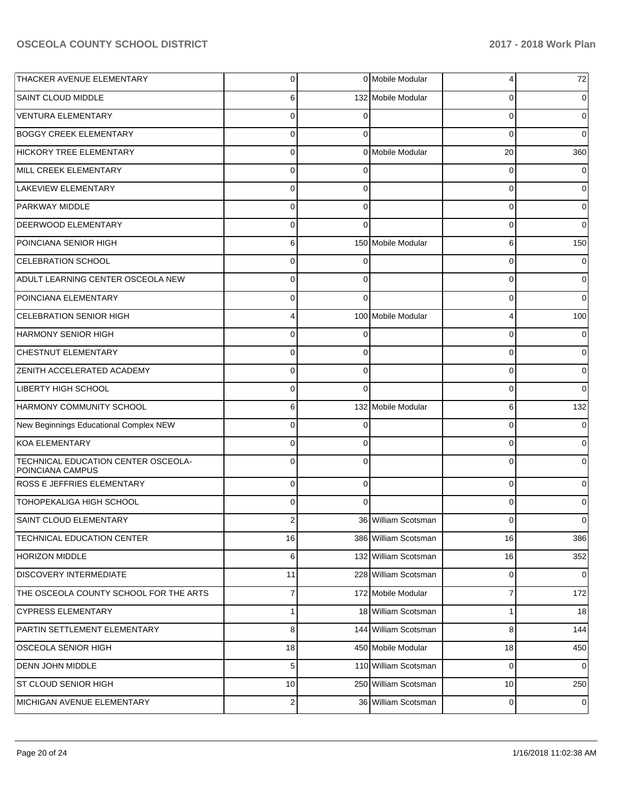| THACKER AVENUE ELEMENTARY                               | $\overline{0}$ |          | 0 Mobile Modular     | 4           | 72          |
|---------------------------------------------------------|----------------|----------|----------------------|-------------|-------------|
| SAINT CLOUD MIDDLE                                      | 6              |          | 132 Mobile Modular   | 0           | 0           |
| <b>VENTURA ELEMENTARY</b>                               | $\Omega$       |          |                      | $\Omega$    | 0           |
| <b>BOGGY CREEK ELEMENTARY</b>                           | $\Omega$       | 0        |                      | $\Omega$    | $\Omega$    |
| <b>HICKORY TREE ELEMENTARY</b>                          | $\Omega$       |          | 0 Mobile Modular     | 20          | 360         |
| MILL CREEK ELEMENTARY                                   | $\Omega$       | 0        |                      | 0           | 0           |
| <b>LAKEVIEW ELEMENTARY</b>                              | $\Omega$       | $\Omega$ |                      | $\Omega$    | $\Omega$    |
| PARKWAY MIDDLE                                          | $\Omega$       | $\Omega$ |                      | $\Omega$    | 0           |
| DEERWOOD ELEMENTARY                                     | $\Omega$       | $\Omega$ |                      | 0           | 0           |
| POINCIANA SENIOR HIGH                                   | 6              |          | 150 Mobile Modular   | 6           | 150         |
| <b>CELEBRATION SCHOOL</b>                               | $\Omega$       |          |                      | 0           |             |
| ADULT LEARNING CENTER OSCEOLA NEW                       | $\Omega$       | $\Omega$ |                      | 0           | 0           |
| POINCIANA ELEMENTARY                                    | $\Omega$       | $\Omega$ |                      | 0           | 0           |
| <b>CELEBRATION SENIOR HIGH</b>                          | 4              |          | 100 Mobile Modular   | 4           | 100         |
| <b>HARMONY SENIOR HIGH</b>                              | $\Omega$       |          |                      | 0           |             |
| CHESTNUT ELEMENTARY                                     | $\Omega$       | $\Omega$ |                      | 0           | 0           |
| ZENITH ACCELERATED ACADEMY                              | $\Omega$       | $\Omega$ |                      | 0           | 0           |
| LIBERTY HIGH SCHOOL                                     | $\Omega$       | $\Omega$ |                      | 0           | $\Omega$    |
| HARMONY COMMUNITY SCHOOL                                | 6              |          | 132 Mobile Modular   | 6           | 132         |
| New Beginnings Educational Complex NEW                  | $\Omega$       | 0        |                      | 0           | 0           |
| <b>KOA ELEMENTARY</b>                                   | $\Omega$       | 0        |                      | 0           | 0           |
| TECHNICAL EDUCATION CENTER OSCEOLA-<br>POINCIANA CAMPUS | $\Omega$       | $\Omega$ |                      | $\Omega$    | 0           |
| ROSS E JEFFRIES ELEMENTARY                              | $\mathbf 0$    | $\Omega$ |                      | 0           |             |
| TOHOPEKALIGA HIGH SCHOOL                                | $\Omega$       | $\Omega$ |                      | $\Omega$    |             |
| SAINT CLOUD ELEMENTARY                                  | 2              |          | 36 William Scotsman  | 0           | 0           |
| TECHNICAL EDUCATION CENTER                              | 16             |          | 386 William Scotsman | 16          | 386         |
| <b>HORIZON MIDDLE</b>                                   | 6              |          | 132 William Scotsman | 16          | 352         |
| DISCOVERY INTERMEDIATE                                  | 11             |          | 228 William Scotsman | 0           | $\mathbf 0$ |
| THE OSCEOLA COUNTY SCHOOL FOR THE ARTS                  | $\overline{7}$ |          | 172 Mobile Modular   | 7           | 172         |
| <b>CYPRESS ELEMENTARY</b>                               | $\mathbf{1}$   |          | 18 William Scotsman  | 1           | 18          |
| PARTIN SETTLEMENT ELEMENTARY                            | 8              |          | 144 William Scotsman | 8           | 144         |
| OSCEOLA SENIOR HIGH                                     | 18             |          | 450 Mobile Modular   | 18          | 450         |
| DENN JOHN MIDDLE                                        | 5              |          | 110 William Scotsman | 0           | 0           |
| ST CLOUD SENIOR HIGH                                    | 10             |          | 250 William Scotsman | 10          | 250         |
| MICHIGAN AVENUE ELEMENTARY                              | $\overline{2}$ |          | 36 William Scotsman  | $\mathbf 0$ | 0           |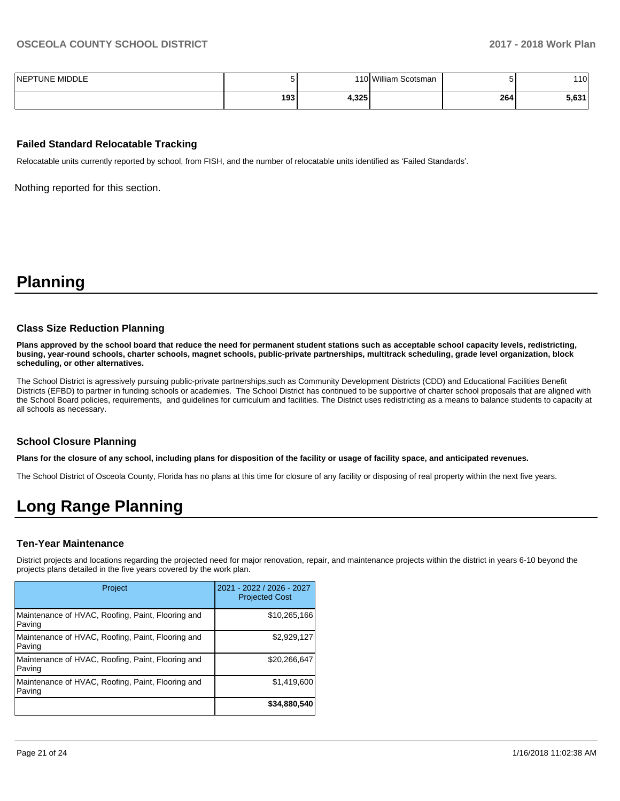| <b>NEPTUNE MIDDLE</b> |       |       | 110 William<br>າ Scotsman |     | 110l  |
|-----------------------|-------|-------|---------------------------|-----|-------|
|                       | 193 l | 4,325 |                           | 264 | 5.631 |

#### **Failed Standard Relocatable Tracking**

Relocatable units currently reported by school, from FISH, and the number of relocatable units identified as 'Failed Standards'.

Nothing reported for this section.

## **Planning**

#### **Class Size Reduction Planning**

**Plans approved by the school board that reduce the need for permanent student stations such as acceptable school capacity levels, redistricting, busing, year-round schools, charter schools, magnet schools, public-private partnerships, multitrack scheduling, grade level organization, block scheduling, or other alternatives.**

The School District is agressively pursuing public-private partnerships,such as Community Development Districts (CDD) and Educational Facilities Benefit Districts (EFBD) to partner in funding schools or academies. The School District has continued to be supportive of charter school proposals that are aligned with the School Board policies, requirements, and guidelines for curriculum and facilities. The District uses redistricting as a means to balance students to capacity at all schools as necessary.

#### **School Closure Planning**

**Plans for the closure of any school, including plans for disposition of the facility or usage of facility space, and anticipated revenues.** 

The School District of Osceola County, Florida has no plans at this time for closure of any facility or disposing of real property within the next five years.

## **Long Range Planning**

#### **Ten-Year Maintenance**

District projects and locations regarding the projected need for major renovation, repair, and maintenance projects within the district in years 6-10 beyond the projects plans detailed in the five years covered by the work plan.

| Project                                                     | 2021 - 2022 / 2026 - 2027<br><b>Projected Cost</b> |
|-------------------------------------------------------------|----------------------------------------------------|
| Maintenance of HVAC, Roofing, Paint, Flooring and<br>Paving | \$10,265,166                                       |
| Maintenance of HVAC, Roofing, Paint, Flooring and<br>Paving | \$2,929,127                                        |
| Maintenance of HVAC, Roofing, Paint, Flooring and<br>Paving | \$20,266,647                                       |
| Maintenance of HVAC, Roofing, Paint, Flooring and<br>Paving | \$1,419,600                                        |
|                                                             | \$34,880,540                                       |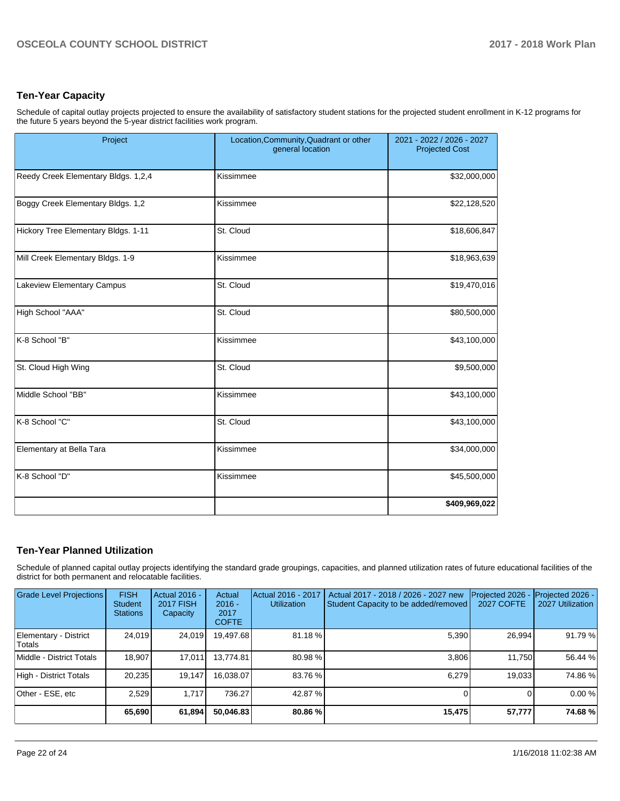## **Ten-Year Capacity**

Schedule of capital outlay projects projected to ensure the availability of satisfactory student stations for the projected student enrollment in K-12 programs for the future 5 years beyond the 5-year district facilities work program.

| Project                             | Location, Community, Quadrant or other<br>general location | 2021 - 2022 / 2026 - 2027<br><b>Projected Cost</b> |
|-------------------------------------|------------------------------------------------------------|----------------------------------------------------|
| Reedy Creek Elementary Bldgs. 1,2,4 | Kissimmee                                                  | \$32,000,000                                       |
| Boggy Creek Elementary Bldgs. 1,2   | Kissimmee                                                  | \$22,128,520                                       |
| Hickory Tree Elementary Bldgs. 1-11 | St. Cloud                                                  | \$18,606,847                                       |
| Mill Creek Elementary Bldgs. 1-9    | Kissimmee                                                  | \$18,963,639                                       |
| Lakeview Elementary Campus          | St. Cloud                                                  | \$19,470,016                                       |
| High School "AAA"                   | St. Cloud                                                  | \$80,500,000                                       |
| K-8 School "B"                      | Kissimmee                                                  | \$43,100,000                                       |
| St. Cloud High Wing                 | St. Cloud                                                  | \$9,500,000                                        |
| Middle School "BB"                  | Kissimmee                                                  | \$43,100,000                                       |
| K-8 School "C"                      | St. Cloud                                                  | \$43,100,000                                       |
| Elementary at Bella Tara            | Kissimmee                                                  | \$34,000,000                                       |
| K-8 School "D"                      | Kissimmee                                                  | \$45,500,000                                       |
|                                     |                                                            | \$409,969,022                                      |

## **Ten-Year Planned Utilization**

Schedule of planned capital outlay projects identifying the standard grade groupings, capacities, and planned utilization rates of future educational facilities of the district for both permanent and relocatable facilities.

| <b>Grade Level Projections</b>  | <b>FISH</b><br><b>Student</b><br><b>Stations</b> | Actual 2016 -<br><b>2017 FISH</b><br>Capacity | Actual<br>$2016 -$<br>2017<br><b>COFTE</b> | Actual 2016 - 2017<br><b>Utilization</b> | Actual 2017 - 2018 / 2026 - 2027 new<br>Student Capacity to be added/removed | Projected 2026<br><b>2027 COFTE</b> | Projected 2026 -<br>2027 Utilization |
|---------------------------------|--------------------------------------------------|-----------------------------------------------|--------------------------------------------|------------------------------------------|------------------------------------------------------------------------------|-------------------------------------|--------------------------------------|
| Elementary - District<br>Totals | 24.019                                           | 24,019                                        | 19.497.68                                  | 81.18%                                   | 5,390                                                                        | 26,994                              | 91.79 %                              |
| Middle - District Totals        | 18.907                                           | 17,011                                        | 13.774.81                                  | 80.98 %                                  | 3.806                                                                        | 11.750                              | 56.44 %                              |
| High - District Totals          | 20.235                                           | 19.147                                        | 16.038.07                                  | 83.76 %                                  | 6.279                                                                        | 19,033                              | 74.86%                               |
| Other - ESE, etc                | 2.529                                            | 1.717                                         | 736.27                                     | 42.87 %                                  |                                                                              |                                     | 0.00%                                |
|                                 | 65,690                                           | 61,894                                        | 50.046.83                                  | 80.86 %                                  | 15,475                                                                       | 57,777                              | 74.68%                               |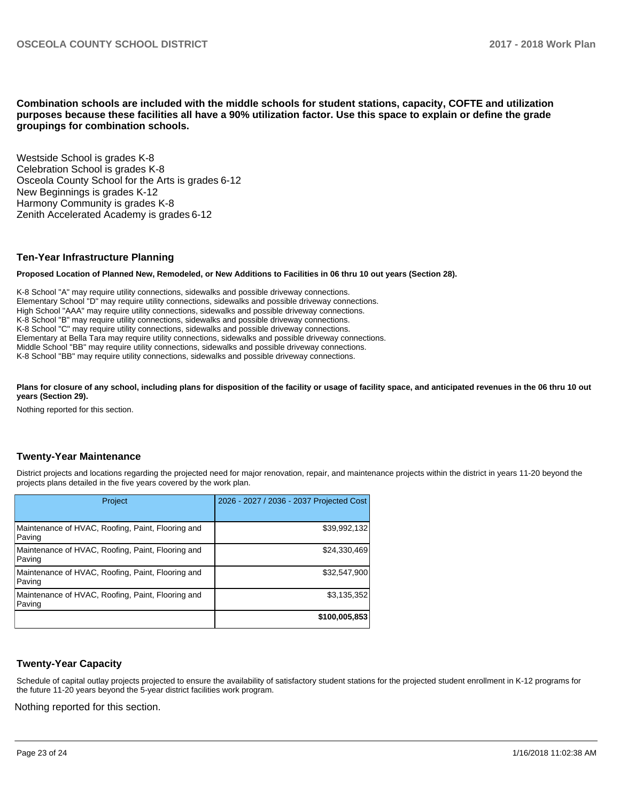**Combination schools are included with the middle schools for student stations, capacity, COFTE and utilization purposes because these facilities all have a 90% utilization factor. Use this space to explain or define the grade groupings for combination schools.** 

Westside School is grades K-8 Celebration School is grades K-8 Osceola County School for the Arts is grades 6-12 New Beginnings is grades K-12 Harmony Community is grades K-8 Zenith Accelerated Academy is grades 6-12

#### **Ten-Year Infrastructure Planning**

**Proposed Location of Planned New, Remodeled, or New Additions to Facilities in 06 thru 10 out years (Section 28).**

K-8 School "A" may require utility connections, sidewalks and possible driveway connections. Elementary School "D" may require utility connections, sidewalks and possible driveway connections. High School "AAA" may require utility connections, sidewalks and possible driveway connections. K-8 School "B" may require utility connections, sidewalks and possible driveway connections. K-8 School "C" may require utility connections, sidewalks and possible driveway connections. Elementary at Bella Tara may require utility connections, sidewalks and possible driveway connections. Middle School "BB" may require utility connections, sidewalks and possible driveway connections. K-8 School "BB" may require utility connections, sidewalks and possible driveway connections.

Plans for closure of any school, including plans for disposition of the facility or usage of facility space, and anticipated revenues in the 06 thru 10 out **years (Section 29).**

Nothing reported for this section.

#### **Twenty-Year Maintenance**

District projects and locations regarding the projected need for major renovation, repair, and maintenance projects within the district in years 11-20 beyond the projects plans detailed in the five years covered by the work plan.

| Project                                                     | 2026 - 2027 / 2036 - 2037 Projected Cost |
|-------------------------------------------------------------|------------------------------------------|
| Maintenance of HVAC, Roofing, Paint, Flooring and<br>Paving | \$39,992,132                             |
| Maintenance of HVAC, Roofing, Paint, Flooring and<br>Paving | \$24,330,469                             |
| Maintenance of HVAC, Roofing, Paint, Flooring and<br>Paving | \$32,547,900                             |
| Maintenance of HVAC, Roofing, Paint, Flooring and<br>Paving | \$3,135,352                              |
|                                                             | \$100,005,853                            |

#### **Twenty-Year Capacity**

Schedule of capital outlay projects projected to ensure the availability of satisfactory student stations for the projected student enrollment in K-12 programs for the future 11-20 years beyond the 5-year district facilities work program.

Nothing reported for this section.